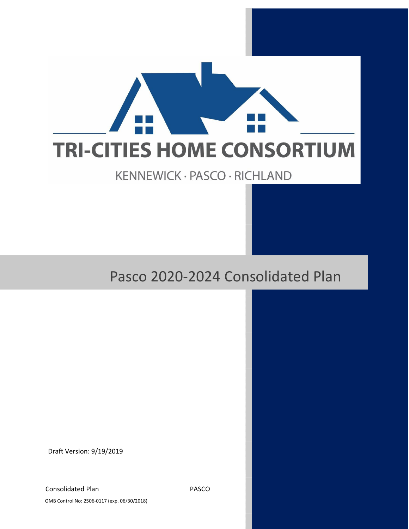

# KENNEWICK · PASCO · RICHLAND

# Pasco 2020-2024 Consolidated Plan

Draft Version: 9/19/2019

OMB Control No: 2506-0117 (exp. 06/30/2018)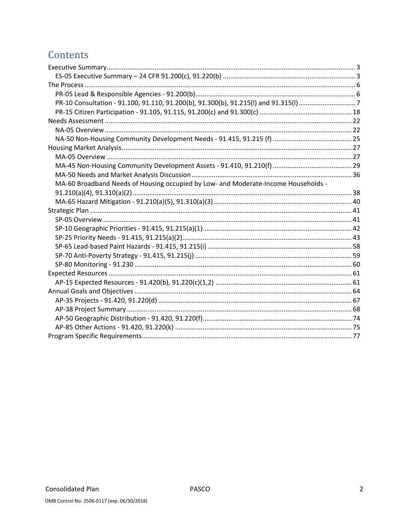## **Contents**

<span id="page-1-0"></span>

| PR-10 Consultation - 91.100, 91.110, 91.200(b), 91.300(b), 91.215(l) and 91.315(l)7 |  |
|-------------------------------------------------------------------------------------|--|
|                                                                                     |  |
|                                                                                     |  |
|                                                                                     |  |
|                                                                                     |  |
|                                                                                     |  |
|                                                                                     |  |
|                                                                                     |  |
|                                                                                     |  |
| MA-60 Broadband Needs of Housing occupied by Low- and Moderate-Income Households -  |  |
|                                                                                     |  |
|                                                                                     |  |
|                                                                                     |  |
|                                                                                     |  |
|                                                                                     |  |
|                                                                                     |  |
|                                                                                     |  |
|                                                                                     |  |
|                                                                                     |  |
|                                                                                     |  |
|                                                                                     |  |
|                                                                                     |  |
|                                                                                     |  |
|                                                                                     |  |
|                                                                                     |  |
|                                                                                     |  |
|                                                                                     |  |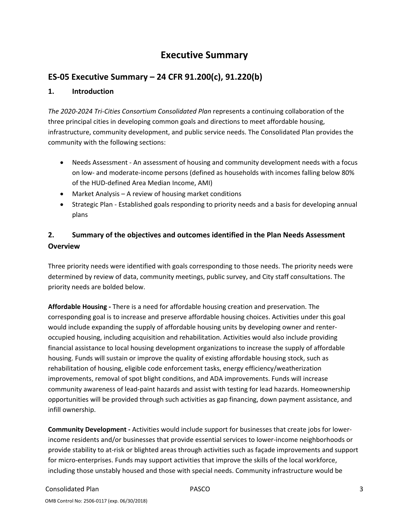## **Executive Summary**

## <span id="page-2-0"></span>**ES-05 Executive Summary – 24 CFR 91.200(c), 91.220(b)**

#### **1. Introduction**

*The 2020-2024 Tri-Cities Consortium Consolidated Plan* represents a continuing collaboration of the three principal cities in developing common goals and directions to meet affordable housing, infrastructure, community development, and public service needs. The Consolidated Plan provides the community with the following sections:

- Needs Assessment An assessment of housing and community development needs with a focus on low- and moderate-income persons (defined as households with incomes falling below 80% of the HUD-defined Area Median Income, AMI)
- Market Analysis A review of housing market conditions
- Strategic Plan Established goals responding to priority needs and a basis for developing annual plans

## **2. Summary of the objectives and outcomes identified in the Plan Needs Assessment Overview**

Three priority needs were identified with goals corresponding to those needs. The priority needs were determined by review of data, community meetings, public survey, and City staff consultations. The priority needs are bolded below.

**Affordable Housing -** There is a need for affordable housing creation and preservation. The corresponding goal is to increase and preserve affordable housing choices. Activities under this goal would include expanding the supply of affordable housing units by developing owner and renteroccupied housing, including acquisition and rehabilitation. Activities would also include providing financial assistance to local housing development organizations to increase the supply of affordable housing. Funds will sustain or improve the quality of existing affordable housing stock, such as rehabilitation of housing, eligible code enforcement tasks, energy efficiency/weatherization improvements, removal of spot blight conditions, and ADA improvements. Funds will increase community awareness of lead-paint hazards and assist with testing for lead hazards. Homeownership opportunities will be provided through such activities as gap financing, down payment assistance, and infill ownership.

**Community Development -** Activities would include support for businesses that create jobs for lowerincome residents and/or businesses that provide essential services to lower-income neighborhoods or provide stability to at-risk or blighted areas through activities such as façade improvements and support for micro-enterprises. Funds may support activities that improve the skills of the local workforce, including those unstably housed and those with special needs. Community infrastructure would be

#### Consolidated Plan 3 and 2008 and 2008 and 2008 and 2008 and 2008 and 2008 and 2008 and 2008 and 2008 and 2008 a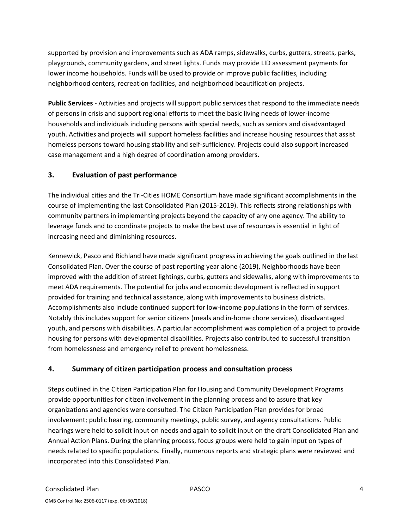supported by provision and improvements such as ADA ramps, sidewalks, curbs, gutters, streets, parks, playgrounds, community gardens, and street lights. Funds may provide LID assessment payments for lower income households. Funds will be used to provide or improve public facilities, including neighborhood centers, recreation facilities, and neighborhood beautification projects.

**Public Services** - Activities and projects will support public services that respond to the immediate needs of persons in crisis and support regional efforts to meet the basic living needs of lower-income households and individuals including persons with special needs, such as seniors and disadvantaged youth. Activities and projects will support homeless facilities and increase housing resources that assist homeless persons toward housing stability and self-sufficiency. Projects could also support increased case management and a high degree of coordination among providers.

### **3. Evaluation of past performance**

The individual cities and the Tri-Cities HOME Consortium have made significant accomplishments in the course of implementing the last Consolidated Plan (2015-2019). This reflects strong relationships with community partners in implementing projects beyond the capacity of any one agency. The ability to leverage funds and to coordinate projects to make the best use of resources is essential in light of increasing need and diminishing resources.

Kennewick, Pasco and Richland have made significant progress in achieving the goals outlined in the last Consolidated Plan. Over the course of past reporting year alone (2019), Neighborhoods have been improved with the addition of street lightings, curbs, gutters and sidewalks, along with improvements to meet ADA requirements. The potential for jobs and economic development is reflected in support provided for training and technical assistance, along with improvements to business districts. Accomplishments also include continued support for low-income populations in the form of services. Notably this includes support for senior citizens (meals and in-home chore services), disadvantaged youth, and persons with disabilities. A particular accomplishment was completion of a project to provide housing for persons with developmental disabilities. Projects also contributed to successful transition from homelessness and emergency relief to prevent homelessness.

#### **4. Summary of citizen participation process and consultation process**

Steps outlined in the Citizen Participation Plan for Housing and Community Development Programs provide opportunities for citizen involvement in the planning process and to assure that key organizations and agencies were consulted. The Citizen Participation Plan provides for broad involvement; public hearing, community meetings, public survey, and agency consultations. Public hearings were held to solicit input on needs and again to solicit input on the draft Consolidated Plan and Annual Action Plans. During the planning process, focus groups were held to gain input on types of needs related to specific populations. Finally, numerous reports and strategic plans were reviewed and incorporated into this Consolidated Plan.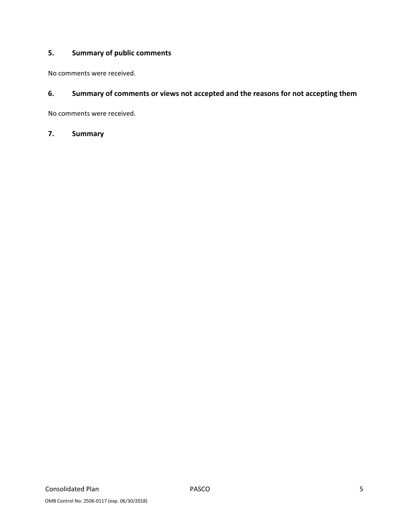### **5. Summary of public comments**

No comments were received.

### **6. Summary of comments or views not accepted and the reasons for not accepting them**

No comments were received.

#### **7. Summary**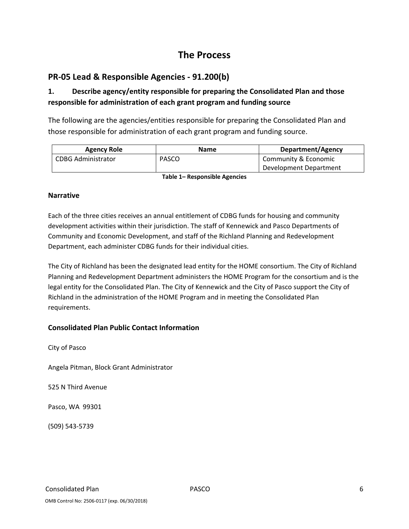## **The Process**

## <span id="page-5-1"></span><span id="page-5-0"></span>**PR-05 Lead & Responsible Agencies - 91.200(b)**

## **1. Describe agency/entity responsible for preparing the Consolidated Plan and those responsible for administration of each grant program and funding source**

The following are the agencies/entities responsible for preparing the Consolidated Plan and those responsible for administration of each grant program and funding source.

| <b>Agency Role</b>        | <b>Name</b>       | Department/Agency      |
|---------------------------|-------------------|------------------------|
| <b>CDBG Administrator</b> | <b>PASCO</b>      |                        |
|                           |                   | Development Department |
|                           | $\cdots$<br>----- |                        |

**Table 1– Responsible Agencies**

#### **Narrative**

Each of the three cities receives an annual entitlement of CDBG funds for housing and community development activities within their jurisdiction. The staff of Kennewick and Pasco Departments of Community and Economic Development, and staff of the Richland Planning and Redevelopment Department, each administer CDBG funds for their individual cities.

The City of Richland has been the designated lead entity for the HOME consortium. The City of Richland Planning and Redevelopment Department administers the HOME Program for the consortium and is the legal entity for the Consolidated Plan. The City of Kennewick and the City of Pasco support the City of Richland in the administration of the HOME Program and in meeting the Consolidated Plan requirements.

#### **Consolidated Plan Public Contact Information**

City of Pasco

Angela Pitman, Block Grant Administrator

525 N Third Avenue

Pasco, WA 99301

(509) 543-5739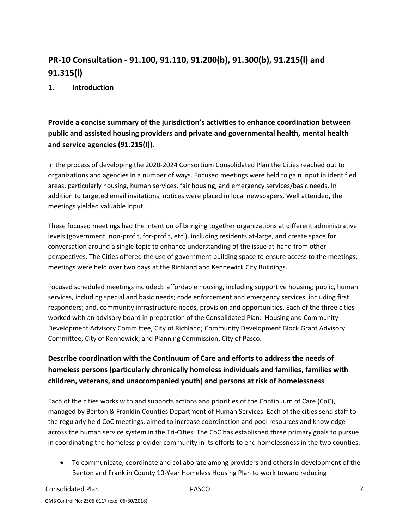## <span id="page-6-0"></span>**PR-10 Consultation - 91.100, 91.110, 91.200(b), 91.300(b), 91.215(l) and 91.315(l)**

#### **1. Introduction**

**Provide a concise summary of the jurisdiction's activities to enhance coordination between public and assisted housing providers and private and governmental health, mental health and service agencies (91.215(I)).**

In the process of developing the 2020-2024 Consortium Consolidated Plan the Cities reached out to organizations and agencies in a number of ways. Focused meetings were held to gain input in identified areas, particularly housing, human services, fair housing, and emergency services/basic needs. In addition to targeted email invitations, notices were placed in local newspapers. Well attended, the meetings yielded valuable input.

These focused meetings had the intention of bringing together organizations at different administrative levels (government, non-profit, for-profit, etc.), including residents at-large, and create space for conversation around a single topic to enhance understanding of the issue at-hand from other perspectives. The Cities offered the use of government building space to ensure access to the meetings; meetings were held over two days at the Richland and Kennewick City Buildings.

Focused scheduled meetings included: affordable housing, including supportive housing; public, human services, including special and basic needs; code enforcement and emergency services, including first responders; and, community infrastructure needs, provision and opportunities. Each of the three cities worked with an advisory board in preparation of the Consolidated Plan: Housing and Community Development Advisory Committee, City of Richland; Community Development Block Grant Advisory Committee, City of Kennewick; and Planning Commission, City of Pasco.

## **Describe coordination with the Continuum of Care and efforts to address the needs of homeless persons (particularly chronically homeless individuals and families, families with children, veterans, and unaccompanied youth) and persons at risk of homelessness**

Each of the cities works with and supports actions and priorities of the Continuum of Care (CoC), managed by Benton & Franklin Counties Department of Human Services. Each of the cities send staff to the regularly held CoC meetings, aimed to increase coordination and pool resources and knowledge across the human service system in the Tri-Cities. The CoC has established three primary goals to pursue in coordinating the homeless provider community in its efforts to end homelessness in the two counties:

• To communicate, coordinate and collaborate among providers and others in development of the Benton and Franklin County 10-Year Homeless Housing Plan to work toward reducing

#### Consolidated Plan 7 and 2008 PASCO 2008 PASCO 2008 PASCO 2008 PASCO 2008 PASCO 2008 PASCO 2008 PASCO 2008 PASCO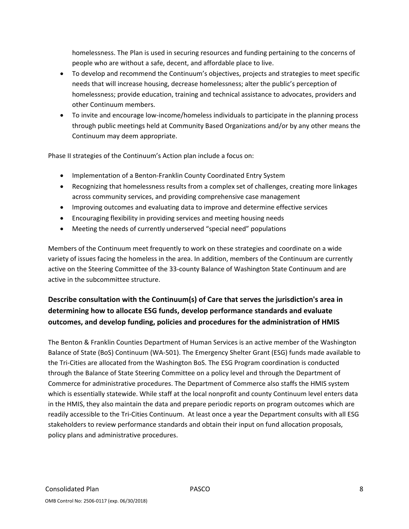homelessness. The Plan is used in securing resources and funding pertaining to the concerns of people who are without a safe, decent, and affordable place to live.

- To develop and recommend the Continuum's objectives, projects and strategies to meet specific needs that will increase housing, decrease homelessness; alter the public's perception of homelessness; provide education, training and technical assistance to advocates, providers and other Continuum members.
- To invite and encourage low-income/homeless individuals to participate in the planning process through public meetings held at Community Based Organizations and/or by any other means the Continuum may deem appropriate.

Phase II strategies of the Continuum's Action plan include a focus on:

- Implementation of a Benton-Franklin County Coordinated Entry System
- Recognizing that homelessness results from a complex set of challenges, creating more linkages across community services, and providing comprehensive case management
- Improving outcomes and evaluating data to improve and determine effective services
- Encouraging flexibility in providing services and meeting housing needs
- Meeting the needs of currently underserved "special need" populations

Members of the Continuum meet frequently to work on these strategies and coordinate on a wide variety of issues facing the homeless in the area. In addition, members of the Continuum are currently active on the Steering Committee of the 33-county Balance of Washington State Continuum and are active in the subcommittee structure.

## **Describe consultation with the Continuum(s) of Care that serves the jurisdiction's area in determining how to allocate ESG funds, develop performance standards and evaluate outcomes, and develop funding, policies and procedures for the administration of HMIS**

The Benton & Franklin Counties Department of Human Services is an active member of the Washington Balance of State (BoS) Continuum (WA-501). The Emergency Shelter Grant (ESG) funds made available to the Tri-Cities are allocated from the Washington BoS. The ESG Program coordination is conducted through the Balance of State Steering Committee on a policy level and through the Department of Commerce for administrative procedures. The Department of Commerce also staffs the HMIS system which is essentially statewide. While staff at the local nonprofit and county Continuum level enters data in the HMIS, they also maintain the data and prepare periodic reports on program outcomes which are readily accessible to the Tri-Cities Continuum. At least once a year the Department consults with all ESG stakeholders to review performance standards and obtain their input on fund allocation proposals, policy plans and administrative procedures.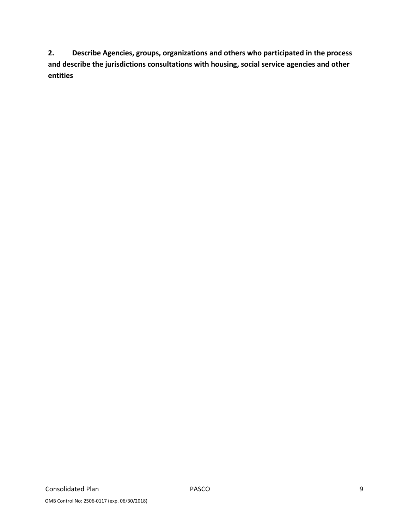**2. Describe Agencies, groups, organizations and others who participated in the process and describe the jurisdictions consultations with housing, social service agencies and other entities**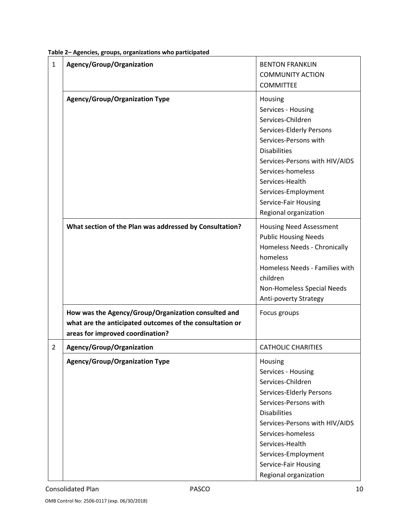| $\mathbf{1}$ | Agency/Group/Organization                                                                                                                           | <b>BENTON FRANKLIN</b><br><b>COMMUNITY ACTION</b><br><b>COMMITTEE</b>                                                                                                                                                                                                            |
|--------------|-----------------------------------------------------------------------------------------------------------------------------------------------------|----------------------------------------------------------------------------------------------------------------------------------------------------------------------------------------------------------------------------------------------------------------------------------|
|              | <b>Agency/Group/Organization Type</b>                                                                                                               | Housing<br>Services - Housing<br>Services-Children<br>Services-Elderly Persons<br>Services-Persons with<br><b>Disabilities</b><br>Services-Persons with HIV/AIDS<br>Services-homeless<br>Services-Health<br>Services-Employment<br>Service-Fair Housing<br>Regional organization |
|              | What section of the Plan was addressed by Consultation?                                                                                             | <b>Housing Need Assessment</b><br><b>Public Housing Needs</b><br>Homeless Needs - Chronically<br>homeless<br>Homeless Needs - Families with<br>children<br>Non-Homeless Special Needs<br>Anti-poverty Strategy                                                                   |
|              | How was the Agency/Group/Organization consulted and<br>what are the anticipated outcomes of the consultation or<br>areas for improved coordination? | Focus groups                                                                                                                                                                                                                                                                     |
| 2            | Agency/Group/Organization                                                                                                                           | <b>CATHOLIC CHARITIES</b>                                                                                                                                                                                                                                                        |
|              | <b>Agency/Group/Organization Type</b>                                                                                                               | Housing<br>Services - Housing<br>Services-Children<br>Services-Elderly Persons<br>Services-Persons with<br><b>Disabilities</b><br>Services-Persons with HIV/AIDS<br>Services-homeless<br>Services-Health<br>Services-Employment<br>Service-Fair Housing<br>Regional organization |

#### **Table 2– Agencies, groups, organizations who participated**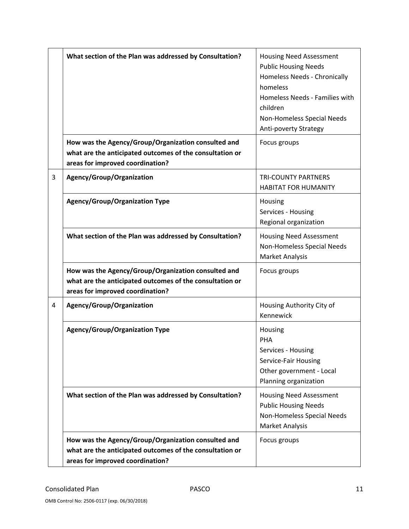|   | What section of the Plan was addressed by Consultation?<br>How was the Agency/Group/Organization consulted and<br>what are the anticipated outcomes of the consultation or<br>areas for improved coordination? | <b>Housing Need Assessment</b><br><b>Public Housing Needs</b><br>Homeless Needs - Chronically<br>homeless<br>Homeless Needs - Families with<br>children<br>Non-Homeless Special Needs<br>Anti-poverty Strategy<br>Focus groups |
|---|----------------------------------------------------------------------------------------------------------------------------------------------------------------------------------------------------------------|--------------------------------------------------------------------------------------------------------------------------------------------------------------------------------------------------------------------------------|
| 3 | Agency/Group/Organization                                                                                                                                                                                      | <b>TRI-COUNTY PARTNERS</b><br><b>HABITAT FOR HUMANITY</b>                                                                                                                                                                      |
|   | <b>Agency/Group/Organization Type</b>                                                                                                                                                                          | Housing<br>Services - Housing<br>Regional organization                                                                                                                                                                         |
|   | What section of the Plan was addressed by Consultation?                                                                                                                                                        | <b>Housing Need Assessment</b><br>Non-Homeless Special Needs<br><b>Market Analysis</b>                                                                                                                                         |
|   | How was the Agency/Group/Organization consulted and<br>what are the anticipated outcomes of the consultation or<br>areas for improved coordination?                                                            | Focus groups                                                                                                                                                                                                                   |
| 4 | Agency/Group/Organization                                                                                                                                                                                      | Housing Authority City of<br>Kennewick                                                                                                                                                                                         |
|   | <b>Agency/Group/Organization Type</b>                                                                                                                                                                          | Housing<br>PHA<br>Services - Housing<br>Service-Fair Housing<br>Other government - Local<br>Planning organization                                                                                                              |
|   | What section of the Plan was addressed by Consultation?                                                                                                                                                        | <b>Housing Need Assessment</b><br><b>Public Housing Needs</b><br>Non-Homeless Special Needs<br>Market Analysis                                                                                                                 |
|   | How was the Agency/Group/Organization consulted and<br>what are the anticipated outcomes of the consultation or<br>areas for improved coordination?                                                            | Focus groups                                                                                                                                                                                                                   |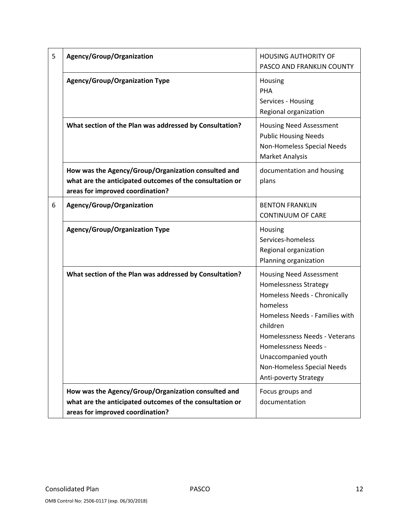| 5 | Agency/Group/Organization                                                                                                                           | <b>HOUSING AUTHORITY OF</b><br>PASCO AND FRANKLIN COUNTY                                                                                                                                                                                                                                        |
|---|-----------------------------------------------------------------------------------------------------------------------------------------------------|-------------------------------------------------------------------------------------------------------------------------------------------------------------------------------------------------------------------------------------------------------------------------------------------------|
|   | <b>Agency/Group/Organization Type</b>                                                                                                               | Housing<br>PHA<br>Services - Housing<br>Regional organization                                                                                                                                                                                                                                   |
|   | What section of the Plan was addressed by Consultation?                                                                                             | <b>Housing Need Assessment</b><br><b>Public Housing Needs</b><br>Non-Homeless Special Needs<br><b>Market Analysis</b>                                                                                                                                                                           |
|   | How was the Agency/Group/Organization consulted and<br>what are the anticipated outcomes of the consultation or<br>areas for improved coordination? | documentation and housing<br>plans                                                                                                                                                                                                                                                              |
| 6 | Agency/Group/Organization                                                                                                                           | <b>BENTON FRANKLIN</b><br><b>CONTINUUM OF CARE</b>                                                                                                                                                                                                                                              |
|   | <b>Agency/Group/Organization Type</b>                                                                                                               | Housing<br>Services-homeless<br>Regional organization<br>Planning organization                                                                                                                                                                                                                  |
|   | What section of the Plan was addressed by Consultation?                                                                                             | <b>Housing Need Assessment</b><br><b>Homelessness Strategy</b><br>Homeless Needs - Chronically<br>homeless<br>Homeless Needs - Families with<br>children<br>Homelessness Needs - Veterans<br>Homelessness Needs -<br>Unaccompanied youth<br>Non-Homeless Special Needs<br>Anti-poverty Strategy |
|   | How was the Agency/Group/Organization consulted and                                                                                                 | Focus groups and                                                                                                                                                                                                                                                                                |
|   | what are the anticipated outcomes of the consultation or<br>areas for improved coordination?                                                        | documentation                                                                                                                                                                                                                                                                                   |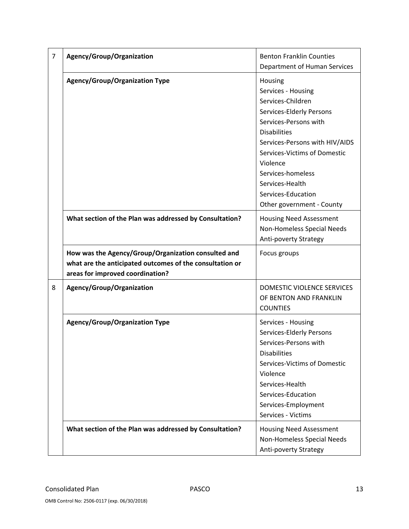| $\overline{7}$ | Agency/Group/Organization                                                                                                                           | <b>Benton Franklin Counties</b><br>Department of Human Services                                                                                                                                                                                                                                         |
|----------------|-----------------------------------------------------------------------------------------------------------------------------------------------------|---------------------------------------------------------------------------------------------------------------------------------------------------------------------------------------------------------------------------------------------------------------------------------------------------------|
|                | <b>Agency/Group/Organization Type</b>                                                                                                               | Housing<br>Services - Housing<br>Services-Children<br>Services-Elderly Persons<br>Services-Persons with<br><b>Disabilities</b><br>Services-Persons with HIV/AIDS<br>Services-Victims of Domestic<br>Violence<br>Services-homeless<br>Services-Health<br>Services-Education<br>Other government - County |
|                | What section of the Plan was addressed by Consultation?                                                                                             | <b>Housing Need Assessment</b><br>Non-Homeless Special Needs<br>Anti-poverty Strategy                                                                                                                                                                                                                   |
|                | How was the Agency/Group/Organization consulted and<br>what are the anticipated outcomes of the consultation or<br>areas for improved coordination? | Focus groups                                                                                                                                                                                                                                                                                            |
| 8              | Agency/Group/Organization                                                                                                                           | DOMESTIC VIOLENCE SERVICES<br>OF BENTON AND FRANKLIN<br><b>COUNTIES</b>                                                                                                                                                                                                                                 |
|                | <b>Agency/Group/Organization Type</b>                                                                                                               | Services - Housing<br>Services-Elderly Persons<br>Services-Persons with<br><b>Disabilities</b><br>Services-Victims of Domestic<br>Violence<br>Services-Health<br>Services-Education<br>Services-Employment<br>Services - Victims                                                                        |
|                | What section of the Plan was addressed by Consultation?                                                                                             | <b>Housing Need Assessment</b><br>Non-Homeless Special Needs<br>Anti-poverty Strategy                                                                                                                                                                                                                   |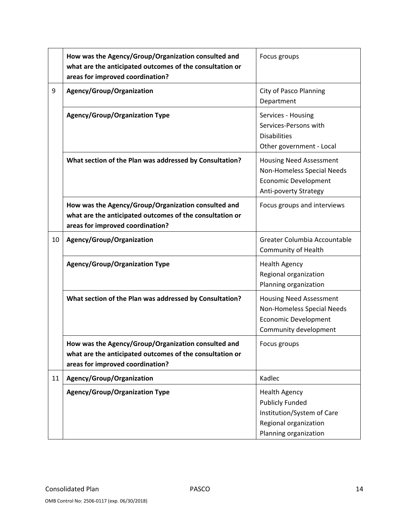|    | How was the Agency/Group/Organization consulted and<br>what are the anticipated outcomes of the consultation or<br>areas for improved coordination? | Focus groups                                                                                                                   |
|----|-----------------------------------------------------------------------------------------------------------------------------------------------------|--------------------------------------------------------------------------------------------------------------------------------|
| 9  | Agency/Group/Organization                                                                                                                           | City of Pasco Planning<br>Department                                                                                           |
|    | <b>Agency/Group/Organization Type</b>                                                                                                               | Services - Housing<br>Services-Persons with<br><b>Disabilities</b><br>Other government - Local                                 |
|    | What section of the Plan was addressed by Consultation?                                                                                             | <b>Housing Need Assessment</b><br>Non-Homeless Special Needs<br><b>Economic Development</b><br>Anti-poverty Strategy           |
|    | How was the Agency/Group/Organization consulted and<br>what are the anticipated outcomes of the consultation or<br>areas for improved coordination? | Focus groups and interviews                                                                                                    |
| 10 | Agency/Group/Organization                                                                                                                           | Greater Columbia Accountable<br>Community of Health                                                                            |
|    | <b>Agency/Group/Organization Type</b>                                                                                                               | <b>Health Agency</b><br>Regional organization<br>Planning organization                                                         |
|    | What section of the Plan was addressed by Consultation?                                                                                             | Housing Need Assessment<br>Non-Homeless Special Needs<br><b>Economic Development</b><br>Community development                  |
|    | How was the Agency/Group/Organization consulted and<br>what are the anticipated outcomes of the consultation or<br>areas for improved coordination? | Focus groups                                                                                                                   |
| 11 | Agency/Group/Organization                                                                                                                           | Kadlec                                                                                                                         |
|    | <b>Agency/Group/Organization Type</b>                                                                                                               | <b>Health Agency</b><br><b>Publicly Funded</b><br>Institution/System of Care<br>Regional organization<br>Planning organization |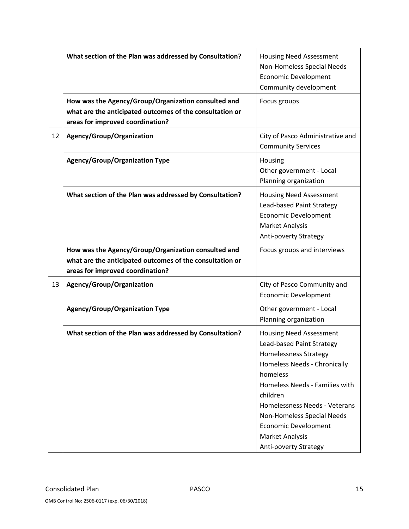|    | What section of the Plan was addressed by Consultation?                                                                                             | <b>Housing Need Assessment</b><br>Non-Homeless Special Needs<br><b>Economic Development</b><br>Community development                                                                                                                                                                                                                   |
|----|-----------------------------------------------------------------------------------------------------------------------------------------------------|----------------------------------------------------------------------------------------------------------------------------------------------------------------------------------------------------------------------------------------------------------------------------------------------------------------------------------------|
|    | How was the Agency/Group/Organization consulted and<br>what are the anticipated outcomes of the consultation or<br>areas for improved coordination? | Focus groups                                                                                                                                                                                                                                                                                                                           |
| 12 | Agency/Group/Organization                                                                                                                           | City of Pasco Administrative and<br><b>Community Services</b>                                                                                                                                                                                                                                                                          |
|    | <b>Agency/Group/Organization Type</b>                                                                                                               | Housing<br>Other government - Local<br>Planning organization                                                                                                                                                                                                                                                                           |
|    | What section of the Plan was addressed by Consultation?                                                                                             | <b>Housing Need Assessment</b><br>Lead-based Paint Strategy<br><b>Economic Development</b><br><b>Market Analysis</b><br>Anti-poverty Strategy                                                                                                                                                                                          |
|    | How was the Agency/Group/Organization consulted and<br>what are the anticipated outcomes of the consultation or<br>areas for improved coordination? | Focus groups and interviews                                                                                                                                                                                                                                                                                                            |
| 13 | Agency/Group/Organization                                                                                                                           | City of Pasco Community and<br><b>Economic Development</b>                                                                                                                                                                                                                                                                             |
|    | <b>Agency/Group/Organization Type</b>                                                                                                               | Other government - Local<br>Planning organization                                                                                                                                                                                                                                                                                      |
|    | What section of the Plan was addressed by Consultation?                                                                                             | <b>Housing Need Assessment</b><br>Lead-based Paint Strategy<br><b>Homelessness Strategy</b><br>Homeless Needs - Chronically<br>homeless<br>Homeless Needs - Families with<br>children<br>Homelessness Needs - Veterans<br>Non-Homeless Special Needs<br><b>Economic Development</b><br><b>Market Analysis</b><br>Anti-poverty Strategy |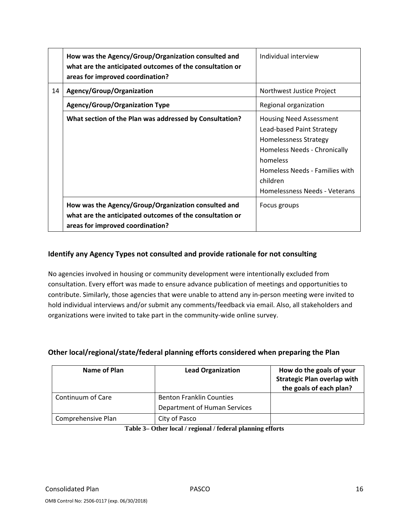|    | How was the Agency/Group/Organization consulted and<br>what are the anticipated outcomes of the consultation or<br>areas for improved coordination? | Individual interview                                                                                                                                                                                                   |
|----|-----------------------------------------------------------------------------------------------------------------------------------------------------|------------------------------------------------------------------------------------------------------------------------------------------------------------------------------------------------------------------------|
| 14 | Agency/Group/Organization                                                                                                                           | Northwest Justice Project                                                                                                                                                                                              |
|    | <b>Agency/Group/Organization Type</b>                                                                                                               | Regional organization                                                                                                                                                                                                  |
|    | What section of the Plan was addressed by Consultation?                                                                                             | <b>Housing Need Assessment</b><br>Lead-based Paint Strategy<br><b>Homelessness Strategy</b><br>Homeless Needs - Chronically<br>homeless<br>Homeless Needs - Families with<br>children<br>Homelessness Needs - Veterans |
|    | How was the Agency/Group/Organization consulted and<br>what are the anticipated outcomes of the consultation or<br>areas for improved coordination? | Focus groups                                                                                                                                                                                                           |

#### **Identify any Agency Types not consulted and provide rationale for not consulting**

No agencies involved in housing or community development were intentionally excluded from consultation. Every effort was made to ensure advance publication of meetings and opportunities to contribute. Similarly, those agencies that were unable to attend any in-person meeting were invited to hold individual interviews and/or submit any comments/feedback via email. Also, all stakeholders and organizations were invited to take part in the community-wide online survey.

#### **Other local/regional/state/federal planning efforts considered when preparing the Plan**

| Name of Plan       | <b>Lead Organization</b>        | How do the goals of your<br><b>Strategic Plan overlap with</b><br>the goals of each plan? |
|--------------------|---------------------------------|-------------------------------------------------------------------------------------------|
| Continuum of Care  | <b>Benton Franklin Counties</b> |                                                                                           |
|                    | Department of Human Services    |                                                                                           |
| Comprehensive Plan | City of Pasco                   |                                                                                           |

**Table 3– Other local / regional / federal planning efforts**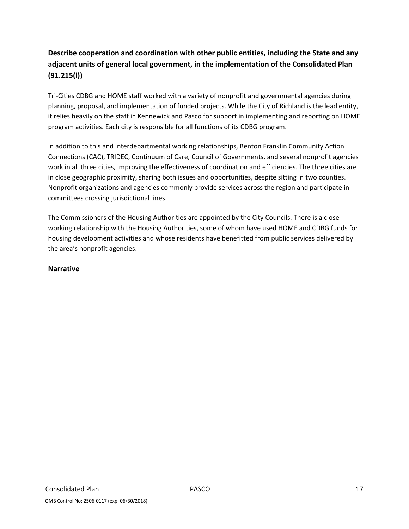## **Describe cooperation and coordination with other public entities, including the State and any adjacent units of general local government, in the implementation of the Consolidated Plan (91.215(l))**

Tri-Cities CDBG and HOME staff worked with a variety of nonprofit and governmental agencies during planning, proposal, and implementation of funded projects. While the City of Richland is the lead entity, it relies heavily on the staff in Kennewick and Pasco for support in implementing and reporting on HOME program activities. Each city is responsible for all functions of its CDBG program.

In addition to this and interdepartmental working relationships, Benton Franklin Community Action Connections (CAC), TRIDEC, Continuum of Care, Council of Governments, and several nonprofit agencies work in all three cities, improving the effectiveness of coordination and efficiencies. The three cities are in close geographic proximity, sharing both issues and opportunities, despite sitting in two counties. Nonprofit organizations and agencies commonly provide services across the region and participate in committees crossing jurisdictional lines.

The Commissioners of the Housing Authorities are appointed by the City Councils. There is a close working relationship with the Housing Authorities, some of whom have used HOME and CDBG funds for housing development activities and whose residents have benefitted from public services delivered by the area's nonprofit agencies.

#### **Narrative**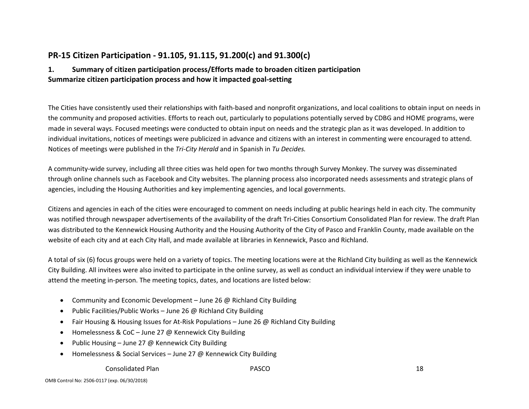## **PR-15 Citizen Participation - 91.105, 91.115, 91.200(c) and 91.300(c)**

### **1. Summary of citizen participation process/Efforts made to broaden citizen participation Summarize citizen participation process and how it impacted goal-setting**

The Cities have consistently used their relationships with faith-based and nonprofit organizations, and local coalitions to obtain input on needs in the community and proposed activities. Efforts to reach out, particularly to populations potentially served by CDBG and HOME programs, were made in several ways. Focused meetings were conducted to obtain input on needs and the strategic plan as it was developed. In addition to individual invitations, notices of meetings were publicized in advance and citizens with an interest in commenting were encouraged to attend. Notices of meetings were published in the *Tri-City Herald* and in Spanish in *Tu Decides.*

<span id="page-17-0"></span>A community-wide survey, including all three cities was held open for two months through Survey Monkey. The survey was disseminated through online channels such as Facebook and City websites. The planning process also incorporated needs assessments and strategic plans of agencies, including the Housing Authorities and key implementing agencies, and local governments.

Citizens and agencies in each of the cities were encouraged to comment on needs including at public hearings held in each city. The community was notified through newspaper advertisements of the availability of the draft Tri-Cities Consortium Consolidated Plan for review. The draft Plan was distributed to the Kennewick Housing Authority and the Housing Authority of the City of Pasco and Franklin County, made available on the website of each city and at each City Hall, and made available at libraries in Kennewick, Pasco and Richland.

A total of six (6) focus groups were held on a variety of topics. The meeting locations were at the Richland City building as well as the Kennewick City Building. All invitees were also invited to participate in the online survey, as well as conduct an individual interview if they were unable to attend the meeting in-person. The meeting topics, dates, and locations are listed below:

- Community and Economic Development June 26 @ Richland City Building
- Public Facilities/Public Works June 26 @ Richland City Building
- Fair Housing & Housing Issues for At-Risk Populations June 26 @ Richland City Building
- Homelessness & CoC June 27 @ Kennewick City Building
- Public Housing June 27 @ Kennewick City Building
- Homelessness & Social Services June 27 @ Kennewick City Building

Consolidated Plan 18 and 2008 18 and 2008 18 and 2008 18 and 2008 18 and 2008 18 and 2008 18 and 2008 18 and 20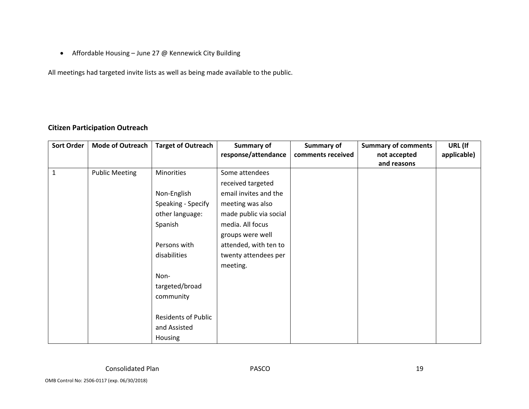• Affordable Housing – June 27 @ Kennewick City Building

All meetings had targeted invite lists as well as being made available to the public.

#### **Citizen Participation Outreach**

| <b>Sort Order</b> | <b>Mode of Outreach</b> | <b>Target of Outreach</b>  | <b>Summary of</b>      | Summary of        | <b>Summary of comments</b> | URL (If     |
|-------------------|-------------------------|----------------------------|------------------------|-------------------|----------------------------|-------------|
|                   |                         |                            | response/attendance    | comments received | not accepted               | applicable) |
|                   |                         |                            |                        |                   | and reasons                |             |
| $\mathbf{1}$      | <b>Public Meeting</b>   | Minorities                 | Some attendees         |                   |                            |             |
|                   |                         |                            | received targeted      |                   |                            |             |
|                   |                         | Non-English                | email invites and the  |                   |                            |             |
|                   |                         | Speaking - Specify         | meeting was also       |                   |                            |             |
|                   |                         | other language:            | made public via social |                   |                            |             |
|                   |                         | Spanish                    | media. All focus       |                   |                            |             |
|                   |                         |                            | groups were well       |                   |                            |             |
|                   |                         | Persons with               | attended, with ten to  |                   |                            |             |
|                   |                         | disabilities               | twenty attendees per   |                   |                            |             |
|                   |                         |                            | meeting.               |                   |                            |             |
|                   |                         | Non-                       |                        |                   |                            |             |
|                   |                         | targeted/broad             |                        |                   |                            |             |
|                   |                         | community                  |                        |                   |                            |             |
|                   |                         |                            |                        |                   |                            |             |
|                   |                         | <b>Residents of Public</b> |                        |                   |                            |             |
|                   |                         | and Assisted               |                        |                   |                            |             |
|                   |                         | Housing                    |                        |                   |                            |             |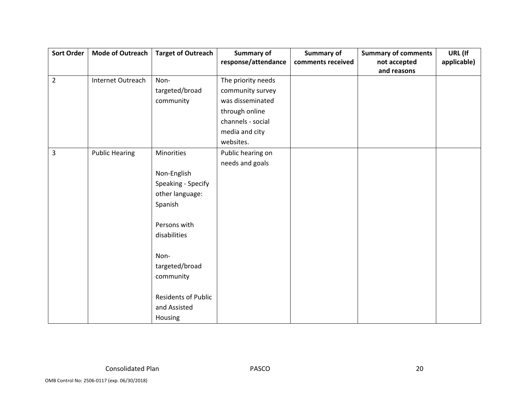| <b>Sort Order</b> | <b>Mode of Outreach</b> | <b>Target of Outreach</b>  | <b>Summary of</b>   | <b>Summary of</b> | <b>Summary of comments</b> | URL (If     |
|-------------------|-------------------------|----------------------------|---------------------|-------------------|----------------------------|-------------|
|                   |                         |                            | response/attendance | comments received | not accepted               | applicable) |
|                   |                         |                            |                     |                   | and reasons                |             |
| $\overline{2}$    | Internet Outreach       | Non-                       | The priority needs  |                   |                            |             |
|                   |                         | targeted/broad             | community survey    |                   |                            |             |
|                   |                         | community                  | was disseminated    |                   |                            |             |
|                   |                         |                            | through online      |                   |                            |             |
|                   |                         |                            | channels - social   |                   |                            |             |
|                   |                         |                            | media and city      |                   |                            |             |
|                   |                         |                            | websites.           |                   |                            |             |
| 3                 | <b>Public Hearing</b>   | Minorities                 | Public hearing on   |                   |                            |             |
|                   |                         |                            | needs and goals     |                   |                            |             |
|                   |                         | Non-English                |                     |                   |                            |             |
|                   |                         | Speaking - Specify         |                     |                   |                            |             |
|                   |                         | other language:            |                     |                   |                            |             |
|                   |                         | Spanish                    |                     |                   |                            |             |
|                   |                         |                            |                     |                   |                            |             |
|                   |                         | Persons with               |                     |                   |                            |             |
|                   |                         | disabilities               |                     |                   |                            |             |
|                   |                         |                            |                     |                   |                            |             |
|                   |                         | Non-                       |                     |                   |                            |             |
|                   |                         | targeted/broad             |                     |                   |                            |             |
|                   |                         | community                  |                     |                   |                            |             |
|                   |                         |                            |                     |                   |                            |             |
|                   |                         | <b>Residents of Public</b> |                     |                   |                            |             |
|                   |                         | and Assisted               |                     |                   |                            |             |
|                   |                         | Housing                    |                     |                   |                            |             |
|                   |                         |                            |                     |                   |                            |             |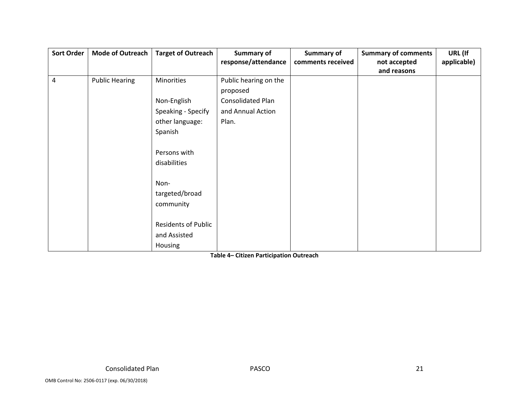| <b>Mode of Outreach</b> | <b>Target of Outreach</b> | Summary of                                                                           | Summary of        | <b>Summary of comments</b> | URL (If     |
|-------------------------|---------------------------|--------------------------------------------------------------------------------------|-------------------|----------------------------|-------------|
|                         |                           | response/attendance                                                                  | comments received | not accepted               | applicable) |
|                         |                           |                                                                                      |                   | and reasons                |             |
| <b>Public Hearing</b>   | Minorities                | Public hearing on the                                                                |                   |                            |             |
|                         |                           | proposed                                                                             |                   |                            |             |
|                         | Non-English               | Consolidated Plan                                                                    |                   |                            |             |
|                         | Speaking - Specify        | and Annual Action                                                                    |                   |                            |             |
|                         | other language:           | Plan.                                                                                |                   |                            |             |
|                         | Spanish                   |                                                                                      |                   |                            |             |
|                         |                           |                                                                                      |                   |                            |             |
|                         | Persons with              |                                                                                      |                   |                            |             |
|                         | disabilities              |                                                                                      |                   |                            |             |
|                         |                           |                                                                                      |                   |                            |             |
|                         | Non-                      |                                                                                      |                   |                            |             |
|                         |                           |                                                                                      |                   |                            |             |
|                         |                           |                                                                                      |                   |                            |             |
|                         |                           |                                                                                      |                   |                            |             |
|                         |                           |                                                                                      |                   |                            |             |
|                         |                           |                                                                                      |                   |                            |             |
|                         |                           |                                                                                      |                   |                            |             |
|                         |                           | targeted/broad<br>community<br><b>Residents of Public</b><br>and Assisted<br>Housing |                   |                            |             |

**Table 4– Citizen Participation Outreach**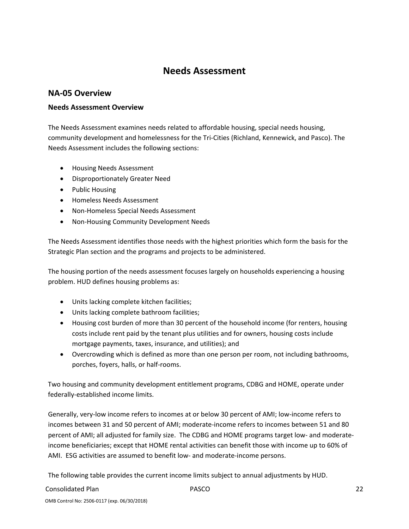## **Needs Assessment**

### <span id="page-21-1"></span><span id="page-21-0"></span>**NA-05 Overview**

#### **Needs Assessment Overview**

The Needs Assessment examines needs related to affordable housing, special needs housing, community development and homelessness for the Tri-Cities (Richland, Kennewick, and Pasco). The Needs Assessment includes the following sections:

- Housing Needs Assessment
- Disproportionately Greater Need
- Public Housing
- Homeless Needs Assessment
- Non-Homeless Special Needs Assessment
- Non-Housing Community Development Needs

The Needs Assessment identifies those needs with the highest priorities which form the basis for the Strategic Plan section and the programs and projects to be administered.

The housing portion of the needs assessment focuses largely on households experiencing a housing problem. HUD defines housing problems as:

- Units lacking complete kitchen facilities;
- Units lacking complete bathroom facilities;
- Housing cost burden of more than 30 percent of the household income (for renters, housing costs include rent paid by the tenant plus utilities and for owners, housing costs include mortgage payments, taxes, insurance, and utilities); and
- Overcrowding which is defined as more than one person per room, not including bathrooms, porches, foyers, halls, or half-rooms.

Two housing and community development entitlement programs, CDBG and HOME, operate under federally-established income limits.

Generally, very-low income refers to incomes at or below 30 percent of AMI; low-income refers to incomes between 31 and 50 percent of AMI; moderate-income refers to incomes between 51 and 80 percent of AMI; all adjusted for family size. The CDBG and HOME programs target low- and moderateincome beneficiaries; except that HOME rental activities can benefit those with income up to 60% of AMI. ESG activities are assumed to benefit low- and moderate-income persons.

The following table provides the current income limits subject to annual adjustments by HUD.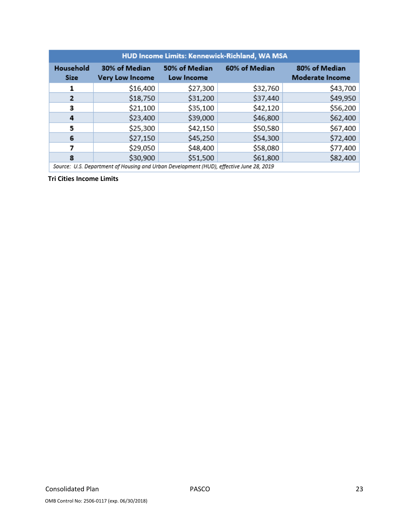| HUD Income Limits: Kennewick-Richland, WA MSA |                                                                                         |                             |               |                                         |  |
|-----------------------------------------------|-----------------------------------------------------------------------------------------|-----------------------------|---------------|-----------------------------------------|--|
| Household<br><b>Size</b>                      | 30% of Median<br><b>Very Low Income</b>                                                 | 50% of Median<br>Low Income | 60% of Median | 80% of Median<br><b>Moderate Income</b> |  |
| 1                                             | \$16,400                                                                                | \$27,300                    | \$32,760      | \$43,700                                |  |
| 2                                             | \$18,750                                                                                | \$31,200                    | \$37,440      | \$49,950                                |  |
| з                                             | \$21,100                                                                                | \$35,100                    | \$42,120      | \$56,200                                |  |
| 4                                             | \$23,400                                                                                | \$39,000                    | \$46,800      | \$62,400                                |  |
| 5                                             | \$25,300                                                                                | \$42,150                    | \$50,580      | \$67,400                                |  |
| 6                                             | \$27,150                                                                                | \$45,250                    | \$54,300      | \$72,400                                |  |
|                                               | \$29,050                                                                                | \$48,400                    | \$58,080      | \$77,400                                |  |
| 8                                             | \$30,900                                                                                | \$51,500                    | \$61,800      | \$82,400                                |  |
|                                               | Source: U.S. Department of Housing and Urban Development (HUD), effective June 28, 2019 |                             |               |                                         |  |

**Tri Cities Income Limits**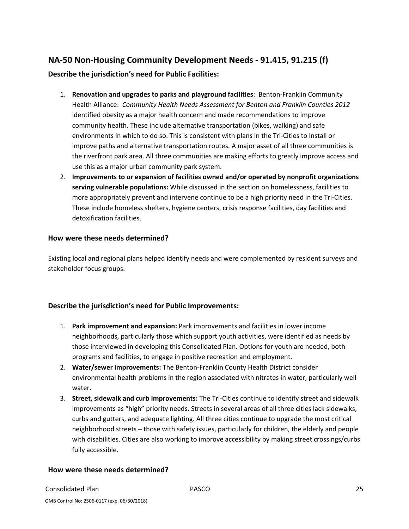## <span id="page-24-0"></span>**NA-50 Non-Housing Community Development Needs - 91.415, 91.215 (f) Describe the jurisdiction's need for Public Facilities:**

- 1. **Renovation and upgrades to parks and playground facilities**: Benton-Franklin Community Health Alliance: *Community Health Needs Assessment for Benton and Franklin Counties 2012* identified obesity as a major health concern and made recommendations to improve community health. These include alternative transportation (bikes, walking) and safe environments in which to do so. This is consistent with plans in the Tri-Cities to install or improve paths and alternative transportation routes. A major asset of all three communities is the riverfront park area. All three communities are making efforts to greatly improve access and use this as a major urban community park system.
- 2. **Improvements to or expansion of facilities owned and/or operated by nonprofit organizations serving vulnerable populations:** While discussed in the section on homelessness, facilities to more appropriately prevent and intervene continue to be a high priority need in the Tri-Cities. These include homeless shelters, hygiene centers, crisis response facilities, day facilities and detoxification facilities.

#### **How were these needs determined?**

Existing local and regional plans helped identify needs and were complemented by resident surveys and stakeholder focus groups.

#### **Describe the jurisdiction's need for Public Improvements:**

- 1. **Park improvement and expansion:** Park improvements and facilities in lower income neighborhoods, particularly those which support youth activities, were identified as needs by those interviewed in developing this Consolidated Plan. Options for youth are needed, both programs and facilities, to engage in positive recreation and employment.
- 2. **Water/sewer improvements:** The Benton-Franklin County Health District consider environmental health problems in the region associated with nitrates in water, particularly well water.
- 3. **Street, sidewalk and curb improvements:** The Tri-Cities continue to identify street and sidewalk improvements as "high" priority needs. Streets in several areas of all three cities lack sidewalks, curbs and gutters, and adequate lighting. All three cities continue to upgrade the most critical neighborhood streets – those with safety issues, particularly for children, the elderly and people with disabilities. Cities are also working to improve accessibility by making street crossings/curbs fully accessible.

#### **How were these needs determined?**

Consolidated Plan PASCO 25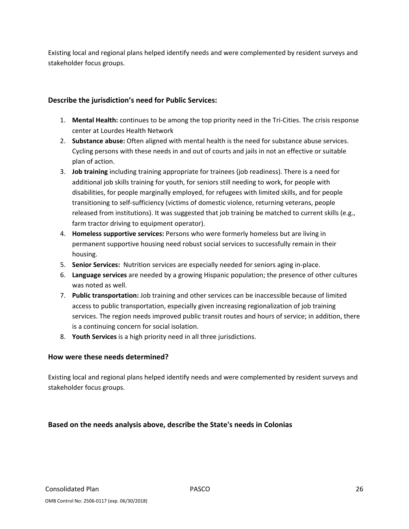Existing local and regional plans helped identify needs and were complemented by resident surveys and stakeholder focus groups.

#### **Describe the jurisdiction's need for Public Services:**

- 1. **Mental Health:** continues to be among the top priority need in the Tri-Cities. The crisis response center at Lourdes Health Network
- 2. **Substance abuse:** Often aligned with mental health is the need for substance abuse services. Cycling persons with these needs in and out of courts and jails in not an effective or suitable plan of action.
- 3. **Job training** including training appropriate for trainees (job readiness). There is a need for additional job skills training for youth, for seniors still needing to work, for people with disabilities, for people marginally employed, for refugees with limited skills, and for people transitioning to self-sufficiency (victims of domestic violence, returning veterans, people released from institutions). It was suggested that job training be matched to current skills (e.g., farm tractor driving to equipment operator).
- 4. **Homeless supportive services:** Persons who were formerly homeless but are living in permanent supportive housing need robust social services to successfully remain in their housing.
- 5. **Senior Services:** Nutrition services are especially needed for seniors aging in-place.
- 6. **Language services** are needed by a growing Hispanic population; the presence of other cultures was noted as well.
- 7. **Public transportation:** Job training and other services can be inaccessible because of limited access to public transportation, especially given increasing regionalization of job training services. The region needs improved public transit routes and hours of service; in addition, there is a continuing concern for social isolation.
- 8. **Youth Services** is a high priority need in all three jurisdictions.

#### **How were these needs determined?**

Existing local and regional plans helped identify needs and were complemented by resident surveys and stakeholder focus groups.

#### **Based on the needs analysis above, describe the State's needs in Colonias**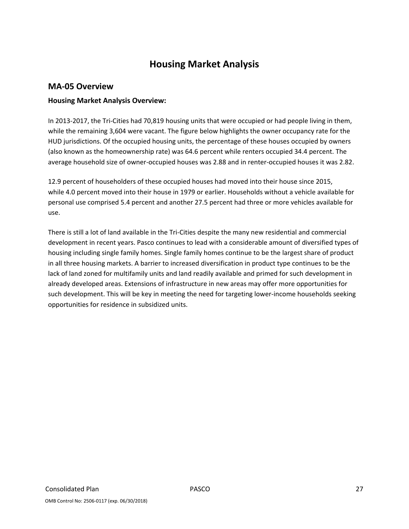## **Housing Market Analysis**

#### <span id="page-26-1"></span><span id="page-26-0"></span>**MA-05 Overview**

#### **Housing Market Analysis Overview:**

In 2013-2017, the Tri-Cities had 70,819 housing units that were occupied or had people living in them, while the remaining 3,604 were vacant. The figure below highlights the owner occupancy rate for the HUD jurisdictions. Of the occupied housing units, the percentage of these houses occupied by owners (also known as the homeownership rate) was 64.6 percent while renters occupied 34.4 percent. The average household size of owner-occupied houses was 2.88 and in renter-occupied houses it was 2.82.

12.9 percent of householders of these occupied houses had moved into their house since 2015, while 4.0 percent moved into their house in 1979 or earlier. Households without a vehicle available for personal use comprised 5.4 percent and another 27.5 percent had three or more vehicles available for use.

There is still a lot of land available in the Tri-Cities despite the many new residential and commercial development in recent years. Pasco continues to lead with a considerable amount of diversified types of housing including single family homes. Single family homes continue to be the largest share of product in all three housing markets. A barrier to increased diversification in product type continues to be the lack of land zoned for multifamily units and land readily available and primed for such development in already developed areas. Extensions of infrastructure in new areas may offer more opportunities for such development. This will be key in meeting the need for targeting lower-income households seeking opportunities for residence in subsidized units.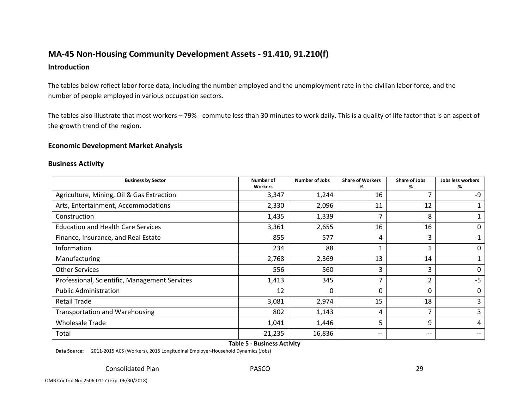## **MA-45 Non-Housing Community Development Assets - 91.410, 91.210(f)**

#### **Introduction**

The tables below reflect labor force data, including the number employed and the unemployment rate in the civilian labor force, and the number of people employed in various occupation sectors.

The tables also illustrate that most workers – 79% - commute less than 30 minutes to work daily. This is a quality of life factor that is an aspect of the growth trend of the region.

#### **Economic Development Market Analysis**

#### <span id="page-28-0"></span>**Business Activity**

| <b>Business by Sector</b>                     | Number of<br>Workers | <b>Number of Jobs</b> | <b>Share of Workers</b><br>℅ | <b>Share of Jobs</b><br>% | Jobs less workers<br>% |
|-----------------------------------------------|----------------------|-----------------------|------------------------------|---------------------------|------------------------|
| Agriculture, Mining, Oil & Gas Extraction     | 3,347                | 1,244                 | 16                           |                           | -9                     |
| Arts, Entertainment, Accommodations           | 2,330                | 2,096                 | 11                           | 12                        |                        |
| Construction                                  | 1,435                | 1,339                 | 7                            | 8                         |                        |
| <b>Education and Health Care Services</b>     | 3,361                | 2,655                 | 16                           | 16                        | 0                      |
| Finance, Insurance, and Real Estate           | 855                  | 577                   | 4                            | 3                         | $-1$                   |
| Information                                   | 234                  | 88                    |                              |                           | 0                      |
| Manufacturing                                 | 2,768                | 2,369                 | 13                           | 14                        |                        |
| <b>Other Services</b>                         | 556                  | 560                   | 3                            | 3                         | 0                      |
| Professional, Scientific, Management Services | 1,413                | 345                   |                              | $\overline{2}$            | $-5$                   |
| <b>Public Administration</b>                  | 12                   | 0                     | ი                            | $\Omega$                  | $\Omega$               |
| <b>Retail Trade</b>                           | 3,081                | 2,974                 | 15                           | 18                        | 3                      |
| <b>Transportation and Warehousing</b>         | 802                  | 1,143                 | 4                            | ⇁                         | 3                      |
| <b>Wholesale Trade</b>                        | 1,041                | 1,446                 | 5                            | 9                         | 4                      |
| Total                                         | 21,235               | 16,836                | $\qquad \qquad -$            | --                        |                        |

#### **Table 5 - Business Activity**

**Data Source:** 2011-2015 ACS (Workers), 2015 Longitudinal Employer-Household Dynamics (Jobs)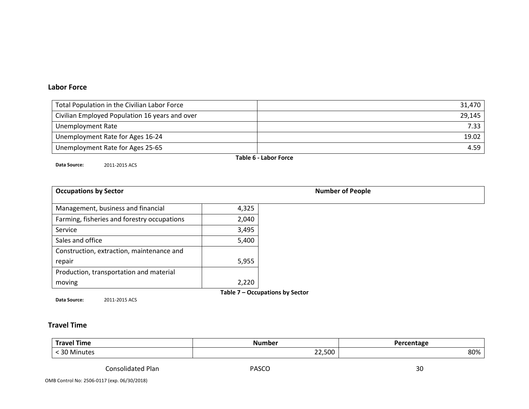#### **Labor Force**

| Total Population in the Civilian Labor Force   | 31,470 |
|------------------------------------------------|--------|
| Civilian Employed Population 16 years and over | 29,145 |
| Unemployment Rate                              | 7.33   |
| Unemployment Rate for Ages 16-24               | 19.02  |
| Unemployment Rate for Ages 25-65               | 4.59   |

**Data Source:** 2011-2015 ACS

**Table 6 - Labor Force**

| <b>Occupations by Sector</b>                |       |
|---------------------------------------------|-------|
| Management, business and financial          | 4,325 |
| Farming, fisheries and forestry occupations | 2,040 |
| Service                                     | 3,495 |
| Sales and office                            | 5,400 |
| Construction, extraction, maintenance and   |       |
| repair                                      | 5,955 |
| Production, transportation and material     |       |
| moving                                      | 2,220 |

**Data Source:** 2011-2015 ACS

**Table 7 – Occupations by Sector**

#### **Travel Time**

| .<br>Travel<br>Time              | Number | Darrantaga<br>. |
|----------------------------------|--------|-----------------|
| $\Omega$<br>- -<br>Minutes<br>υU | 22,500 | 80%             |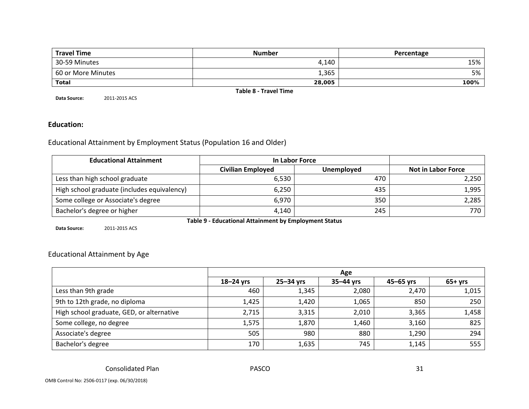| <b>Travel Time</b>    | <b>Number</b> | Percentage |
|-----------------------|---------------|------------|
| 30-59 Minutes         | 4.140         | 15%        |
| 60 or More Minutes    | 1,365         | 5%         |
| <b>Total</b>          | 28,005        | 100%       |
| Table 8 - Travel Time |               |            |

**Data Source:** 2011-2015 ACS

#### **Education:**

Educational Attainment by Employment Status (Population 16 and Older)

| <b>Educational Attainment</b>               | In Labor Force    |            |                           |
|---------------------------------------------|-------------------|------------|---------------------------|
|                                             | Civilian Employed | Unemployed | <b>Not in Labor Force</b> |
| Less than high school graduate              | 6,530             | 470        | 2,250                     |
| High school graduate (includes equivalency) | 6,250             | 435        | 1,995                     |
| Some college or Associate's degree          | 6,970             | 350        | 2,285                     |
| Bachelor's degree or higher                 | 4,140             | 245        | 770                       |

**Data Source:** 2011-2015 ACS

**Table 9 - Educational Attainment by Employment Status**

#### Educational Attainment by Age

|                                           | Age       |               |           |           |          |
|-------------------------------------------|-----------|---------------|-----------|-----------|----------|
|                                           | 18-24 yrs | $25 - 34$ yrs | 35-44 yrs | 45-65 yrs | $65+yrs$ |
| Less than 9th grade                       | 460       | 1,345         | 2,080     | 2,470     | 1,015    |
| 9th to 12th grade, no diploma             | 1,425     | 1,420         | 1,065     | 850       | 250      |
| High school graduate, GED, or alternative | 2,715     | 3,315         | 2,010     | 3,365     | 1,458    |
| Some college, no degree                   | 1,575     | 1,870         | 1,460     | 3,160     | 825      |
| Associate's degree                        | 505       | 980           | 880       | 1,290     | 294      |
| Bachelor's degree                         | 170       | 1,635         | 745       | 1,145     | 555      |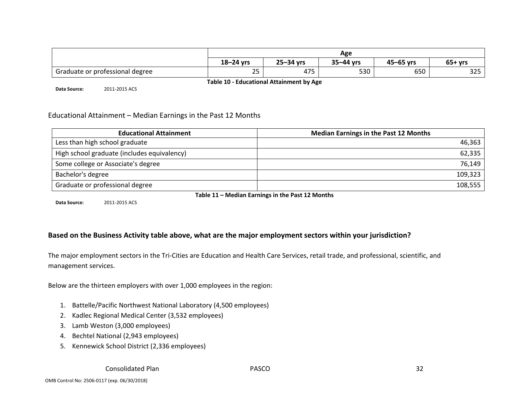|                                 | Age       |           |           |               |          |
|---------------------------------|-----------|-----------|-----------|---------------|----------|
|                                 | 18-24 yrs | 25-34 yrs | 35-44 yrs | $45 - 65$ yrs | $65+yrs$ |
| Graduate or professional degree | n m<br>رے | 475       | 530       | 650           | 325      |

**Table 10 - Educational Attainment by Age**

**Data Source:** 2011-2015 ACS

#### Educational Attainment – Median Earnings in the Past 12 Months

| <b>Educational Attainment</b>               | <b>Median Earnings in the Past 12 Months</b> |
|---------------------------------------------|----------------------------------------------|
| Less than high school graduate              | 46,363                                       |
| High school graduate (includes equivalency) | 62,335                                       |
| Some college or Associate's degree          | 76,149                                       |
| Bachelor's degree                           | 109,323                                      |
| Graduate or professional degree             | 108.555                                      |

**Table 11 – Median Earnings in the Past 12 Months**

**Data Source:** 2011-2015 ACS

#### **Based on the Business Activity table above, what are the major employment sectors within your jurisdiction?**

The major employment sectors in the Tri-Cities are Education and Health Care Services, retail trade, and professional, scientific, and management services.

Below are the thirteen employers with over 1,000 employees in the region:

- 1. Battelle/Pacific Northwest National Laboratory (4,500 employees)
- 2. Kadlec Regional Medical Center (3,532 employees)
- 3. Lamb Weston (3,000 employees)
- 4. Bechtel National (2,943 employees)
- 5. Kennewick School District (2,336 employees)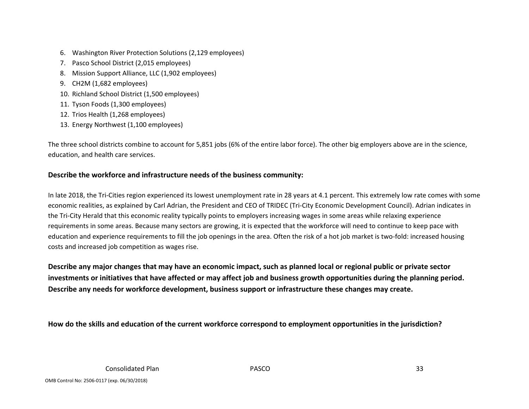- 6. Washington River Protection Solutions (2,129 employees)
- 7. Pasco School District (2,015 employees)
- 8. Mission Support Alliance, LLC (1,902 employees)
- 9. CH2M (1,682 employees)
- 10. Richland School District (1,500 employees)
- 11. Tyson Foods (1,300 employees)
- 12. Trios Health (1,268 employees)
- 13. Energy Northwest (1,100 employees)

The three school districts combine to account for 5,851 jobs (6% of the entire labor force). The other big employers above are in the science, education, and health care services.

### **Describe the workforce and infrastructure needs of the business community:**

In late 2018, the Tri-Cities region experienced its lowest unemployment rate in 28 years at 4.1 percent. This extremely low rate comes with some economic realities, as explained by Carl Adrian, the President and CEO of TRIDEC (Tri-City Economic Development Council). Adrian indicates in the Tri-City Herald that this economic reality typically points to employers increasing wages in some areas while relaxing experience requirements in some areas. Because many sectors are growing, it is expected that the workforce will need to continue to keep pace with education and experience requirements to fill the job openings in the area. Often the risk of a hot job market is two-fold: increased housing costs and increased job competition as wages rise.

**Describe any major changes that may have an economic impact, such as planned local or regional public or private sector investments or initiatives that have affected or may affect job and business growth opportunities during the planning period. Describe any needs for workforce development, business support or infrastructure these changes may create.**

**How do the skills and education of the current workforce correspond to employment opportunities in the jurisdiction?**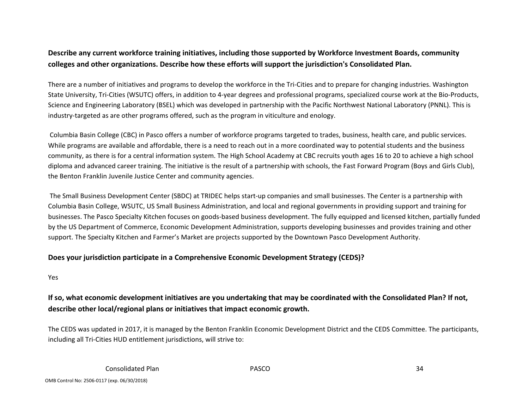## **Describe any current workforce training initiatives, including those supported by Workforce Investment Boards, community colleges and other organizations. Describe how these efforts will support the jurisdiction's Consolidated Plan.**

There are a number of initiatives and programs to develop the workforce in the Tri-Cities and to prepare for changing industries. Washington State University, Tri-Cities (WSUTC) offers, in addition to 4-year degrees and professional programs, specialized course work at the Bio-Products, Science and Engineering Laboratory (BSEL) which was developed in partnership with the Pacific Northwest National Laboratory (PNNL). This is industry-targeted as are other programs offered, such as the program in viticulture and enology.

Columbia Basin College (CBC) in Pasco offers a number of workforce programs targeted to trades, business, health care, and public services. While programs are available and affordable, there is a need to reach out in a more coordinated way to potential students and the business community, as there is for a central information system. The High School Academy at CBC recruits youth ages 16 to 20 to achieve a high school diploma and advanced career training. The initiative is the result of a partnership with schools, the Fast Forward Program (Boys and Girls Club), the Benton Franklin Juvenile Justice Center and community agencies.

The Small Business Development Center (SBDC) at TRIDEC helps start-up companies and small businesses. The Center is a partnership with Columbia Basin College, WSUTC, US Small Business Administration, and local and regional governments in providing support and training for businesses. The Pasco Specialty Kitchen focuses on goods-based business development. The fully equipped and licensed kitchen, partially funded by the US Department of Commerce, Economic Development Administration, supports developing businesses and provides training and other support. The Specialty Kitchen and Farmer's Market are projects supported by the Downtown Pasco Development Authority.

#### **Does your jurisdiction participate in a Comprehensive Economic Development Strategy (CEDS)?**

Yes

## **If so, what economic development initiatives are you undertaking that may be coordinated with the Consolidated Plan? If not, describe other local/regional plans or initiatives that impact economic growth.**

The CEDS was updated in 2017, it is managed by the Benton Franklin Economic Development District and the CEDS Committee. The participants, including all Tri-Cities HUD entitlement jurisdictions, will strive to:

Consolidated Plan 84 and 24 and 25 and 26 and 26 and 26 and 26 and 26 and 26 and 26 and 26 and 26 and 26 and 26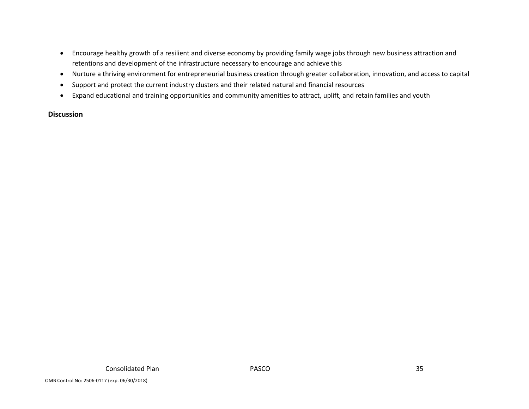- Encourage healthy growth of a resilient and diverse economy by providing family wage jobs through new business attraction and retentions and development of the infrastructure necessary to encourage and achieve this
- Nurture a thriving environment for entrepreneurial business creation through greater collaboration, innovation, and access to capital
- Support and protect the current industry clusters and their related natural and financial resources
- Expand educational and training opportunities and community amenities to attract, uplift, and retain families and youth

#### **Discussion**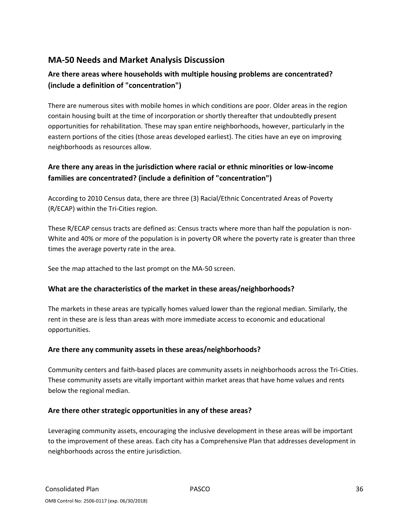## <span id="page-35-0"></span>**MA-50 Needs and Market Analysis Discussion**

## **Are there areas where households with multiple housing problems are concentrated? (include a definition of "concentration")**

There are numerous sites with mobile homes in which conditions are poor. Older areas in the region contain housing built at the time of incorporation or shortly thereafter that undoubtedly present opportunities for rehabilitation. These may span entire neighborhoods, however, particularly in the eastern portions of the cities (those areas developed earliest). The cities have an eye on improving neighborhoods as resources allow.

### **Are there any areas in the jurisdiction where racial or ethnic minorities or low-income families are concentrated? (include a definition of "concentration")**

According to 2010 Census data, there are three (3) Racial/Ethnic Concentrated Areas of Poverty (R/ECAP) within the Tri-Cities region.

These R/ECAP census tracts are defined as: Census tracts where more than half the population is non-White and 40% or more of the population is in poverty OR where the poverty rate is greater than three times the average poverty rate in the area.

See the map attached to the last prompt on the MA-50 screen.

#### **What are the characteristics of the market in these areas/neighborhoods?**

The markets in these areas are typically homes valued lower than the regional median. Similarly, the rent in these are is less than areas with more immediate access to economic and educational opportunities.

#### **Are there any community assets in these areas/neighborhoods?**

Community centers and faith-based places are community assets in neighborhoods across the Tri-Cities. These community assets are vitally important within market areas that have home values and rents below the regional median.

#### **Are there other strategic opportunities in any of these areas?**

Leveraging community assets, encouraging the inclusive development in these areas will be important to the improvement of these areas. Each city has a Comprehensive Plan that addresses development in neighborhoods across the entire jurisdiction.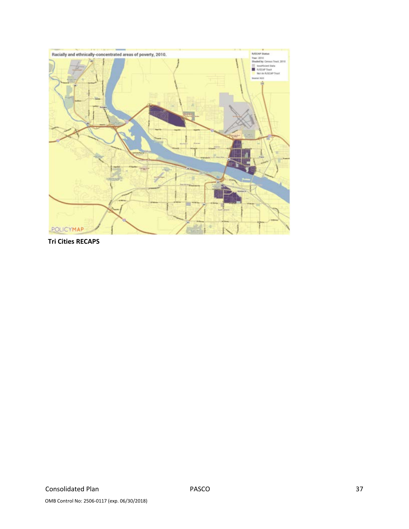

**Tri Cities RECAPS**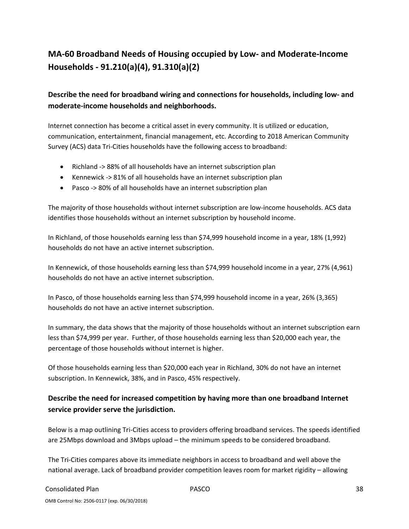# **MA-60 Broadband Needs of Housing occupied by Low- and Moderate-Income Households - 91.210(a)(4), 91.310(a)(2)**

## **Describe the need for broadband wiring and connections for households, including low- and moderate-income households and neighborhoods.**

Internet connection has become a critical asset in every community. It is utilized or education, communication, entertainment, financial management, etc. According to 2018 American Community Survey (ACS) data Tri-Cities households have the following access to broadband:

- Richland -> 88% of all households have an internet subscription plan
- Kennewick -> 81% of all households have an internet subscription plan
- Pasco -> 80% of all households have an internet subscription plan

The majority of those households without internet subscription are low-income households. ACS data identifies those households without an internet subscription by household income.

In Richland, of those households earning less than \$74,999 household income in a year, 18% (1,992) households do not have an active internet subscription.

In Kennewick, of those households earning less than \$74,999 household income in a year, 27% (4,961) households do not have an active internet subscription.

In Pasco, of those households earning less than \$74,999 household income in a year, 26% (3,365) households do not have an active internet subscription.

In summary, the data shows that the majority of those households without an internet subscription earn less than \$74,999 per year. Further, of those households earning less than \$20,000 each year, the percentage of those households without internet is higher.

Of those households earning less than \$20,000 each year in Richland, 30% do not have an internet subscription. In Kennewick, 38%, and in Pasco, 45% respectively.

## **Describe the need for increased competition by having more than one broadband Internet service provider serve the jurisdiction.**

Below is a map outlining Tri-Cities access to providers offering broadband services. The speeds identified are 25Mbps download and 3Mbps upload – the minimum speeds to be considered broadband.

The Tri-Cities compares above its immediate neighbors in access to broadband and well above the national average. Lack of broadband provider competition leaves room for market rigidity – allowing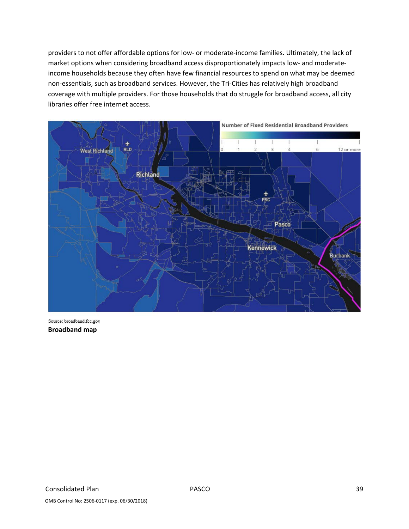providers to not offer affordable options for low- or moderate-income families. Ultimately, the lack of market options when considering broadband access disproportionately impacts low- and moderateincome households because they often have few financial resources to spend on what may be deemed non-essentials, such as broadband services. However, the Tri-Cities has relatively high broadband coverage with multiple providers. For those households that do struggle for broadband access, all city libraries offer free internet access.



Source: broadband.fcc.gov **Broadband map**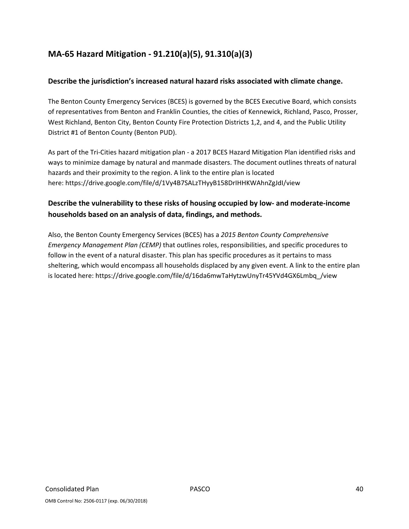# **MA-65 Hazard Mitigation - 91.210(a)(5), 91.310(a)(3)**

#### **Describe the jurisdiction's increased natural hazard risks associated with climate change.**

The Benton County Emergency Services (BCES) is governed by the BCES Executive Board, which consists of representatives from Benton and Franklin Counties, the cities of Kennewick, Richland, Pasco, Prosser, West Richland, Benton City, Benton County Fire Protection Districts 1,2, and 4, and the Public Utility District #1 of Benton County (Benton PUD).

As part of the Tri-Cities hazard mitigation plan - a 2017 BCES Hazard Mitigation Plan identified risks and ways to minimize damage by natural and manmade disasters. The document outlines threats of natural hazards and their proximity to the region. A link to the entire plan is located here: https://drive.google.com/file/d/1Vy4B7SALzTHyyB158DrIHHKWAhnZgJdI/view

## **Describe the vulnerability to these risks of housing occupied by low- and moderate-income households based on an analysis of data, findings, and methods.**

Also, the Benton County Emergency Services (BCES) has a *2015 Benton County Comprehensive Emergency Management Plan (CEMP)* that outlines roles, responsibilities, and specific procedures to follow in the event of a natural disaster. This plan has specific procedures as it pertains to mass sheltering, which would encompass all households displaced by any given event. A link to the entire plan is located here: https://drive.google.com/file/d/16da6mwTaHytzwUnyTr45YVd4GX6Lmbq\_/view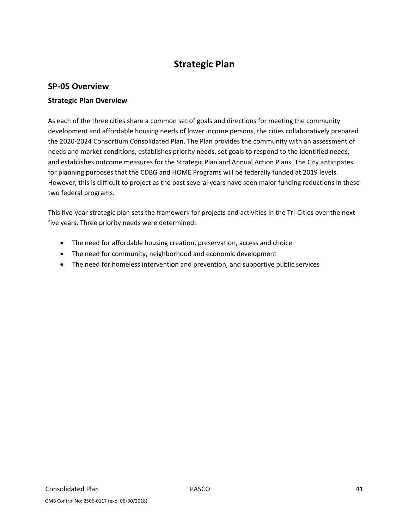# **Strategic Plan**

### **SP-05 Overview**

### **Strategic Plan Overview**

As each of the three cities share a common set of goals and directions for meeting the community development and affordable housing needs of lower income persons, the cities collaboratively prepared the 2020-2024 Consortium Consolidated Plan. The Plan provides the community with an assessment of needs and market conditions, establishes priority needs, set goals to respond to the identified needs, and establishes outcome measures for the Strategic Plan and Annual Action Plans. The City anticipates for planning purposes that the CDBG and HOME Programs will be federally funded at 2019 levels. However, this is difficult to project as the past several years have seen major funding reductions in these two federal programs.

This five-year strategic plan sets the framework for projects and activities in the Tri-Cities over the next five years. Three priority needs were determined:

- The need for affordable housing creation, preservation, access and choice
- The need for community, neighborhood and economic development
- The need for homeless intervention and prevention, and supportive public services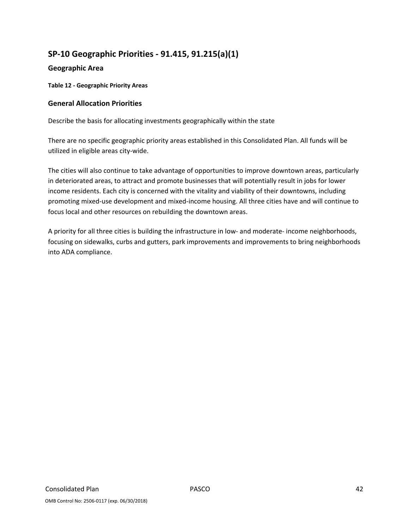# **SP-10 Geographic Priorities - 91.415, 91.215(a)(1)**

#### **Geographic Area**

**Table 12 - Geographic Priority Areas**

#### **General Allocation Priorities**

Describe the basis for allocating investments geographically within the state

There are no specific geographic priority areas established in this Consolidated Plan. All funds will be utilized in eligible areas city-wide.

The cities will also continue to take advantage of opportunities to improve downtown areas, particularly in deteriorated areas, to attract and promote businesses that will potentially result in jobs for lower income residents. Each city is concerned with the vitality and viability of their downtowns, including promoting mixed-use development and mixed-income housing. All three cities have and will continue to focus local and other resources on rebuilding the downtown areas.

A priority for all three cities is building the infrastructure in low- and moderate- income neighborhoods, focusing on sidewalks, curbs and gutters, park improvements and improvements to bring neighborhoods into ADA compliance.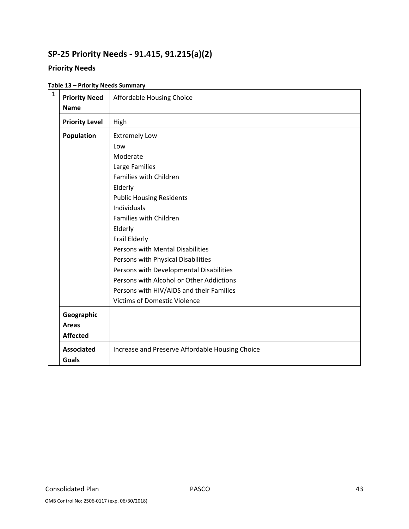# **SP-25 Priority Needs - 91.415, 91.215(a)(2)**

## **Priority Needs**

| $\mathbf{1}$ | <b>Priority Need</b><br>Affordable Housing Choice |                                                 |  |  |  |  |  |  |
|--------------|---------------------------------------------------|-------------------------------------------------|--|--|--|--|--|--|
|              | <b>Name</b>                                       |                                                 |  |  |  |  |  |  |
|              | <b>Priority Level</b>                             | High                                            |  |  |  |  |  |  |
|              | <b>Population</b>                                 | <b>Extremely Low</b>                            |  |  |  |  |  |  |
|              |                                                   | Low                                             |  |  |  |  |  |  |
|              |                                                   | Moderate                                        |  |  |  |  |  |  |
|              |                                                   | Large Families                                  |  |  |  |  |  |  |
|              |                                                   | <b>Families with Children</b>                   |  |  |  |  |  |  |
|              |                                                   | Elderly                                         |  |  |  |  |  |  |
|              |                                                   | <b>Public Housing Residents</b>                 |  |  |  |  |  |  |
|              |                                                   | Individuals                                     |  |  |  |  |  |  |
|              |                                                   | <b>Families with Children</b>                   |  |  |  |  |  |  |
|              |                                                   | Elderly                                         |  |  |  |  |  |  |
|              |                                                   | Frail Elderly                                   |  |  |  |  |  |  |
|              |                                                   | Persons with Mental Disabilities                |  |  |  |  |  |  |
|              |                                                   | Persons with Physical Disabilities              |  |  |  |  |  |  |
|              |                                                   | Persons with Developmental Disabilities         |  |  |  |  |  |  |
|              |                                                   | Persons with Alcohol or Other Addictions        |  |  |  |  |  |  |
|              |                                                   | Persons with HIV/AIDS and their Families        |  |  |  |  |  |  |
|              | <b>Victims of Domestic Violence</b>               |                                                 |  |  |  |  |  |  |
| Geographic   |                                                   |                                                 |  |  |  |  |  |  |
|              | <b>Areas</b>                                      |                                                 |  |  |  |  |  |  |
|              | <b>Affected</b>                                   |                                                 |  |  |  |  |  |  |
|              | <b>Associated</b>                                 | Increase and Preserve Affordable Housing Choice |  |  |  |  |  |  |
|              | <b>Goals</b>                                      |                                                 |  |  |  |  |  |  |

#### **Table 13 – Priority Needs Summary**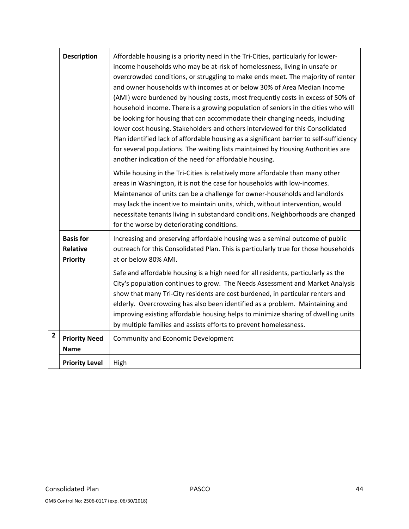|                | <b>Description</b>                                                             | Affordable housing is a priority need in the Tri-Cities, particularly for lower-<br>income households who may be at-risk of homelessness, living in unsafe or<br>overcrowded conditions, or struggling to make ends meet. The majority of renter<br>and owner households with incomes at or below 30% of Area Median Income<br>(AMI) were burdened by housing costs, most frequently costs in excess of 50% of<br>household income. There is a growing population of seniors in the cities who will<br>be looking for housing that can accommodate their changing needs, including<br>lower cost housing. Stakeholders and others interviewed for this Consolidated<br>Plan identified lack of affordable housing as a significant barrier to self-sufficiency<br>for several populations. The waiting lists maintained by Housing Authorities are<br>another indication of the need for affordable housing.<br>While housing in the Tri-Cities is relatively more affordable than many other<br>areas in Washington, it is not the case for households with low-incomes.<br>Maintenance of units can be a challenge for owner-households and landlords<br>may lack the incentive to maintain units, which, without intervention, would<br>necessitate tenants living in substandard conditions. Neighborhoods are changed |
|----------------|--------------------------------------------------------------------------------|----------------------------------------------------------------------------------------------------------------------------------------------------------------------------------------------------------------------------------------------------------------------------------------------------------------------------------------------------------------------------------------------------------------------------------------------------------------------------------------------------------------------------------------------------------------------------------------------------------------------------------------------------------------------------------------------------------------------------------------------------------------------------------------------------------------------------------------------------------------------------------------------------------------------------------------------------------------------------------------------------------------------------------------------------------------------------------------------------------------------------------------------------------------------------------------------------------------------------------------------------------------------------------------------------------------------------|
| $\overline{2}$ | <b>Basis for</b><br><b>Relative</b><br><b>Priority</b><br><b>Priority Need</b> | for the worse by deteriorating conditions.<br>Increasing and preserving affordable housing was a seminal outcome of public<br>outreach for this Consolidated Plan. This is particularly true for those households<br>at or below 80% AMI.<br>Safe and affordable housing is a high need for all residents, particularly as the<br>City's population continues to grow. The Needs Assessment and Market Analysis<br>show that many Tri-City residents are cost burdened, in particular renters and<br>elderly. Overcrowding has also been identified as a problem. Maintaining and<br>improving existing affordable housing helps to minimize sharing of dwelling units<br>by multiple families and assists efforts to prevent homelessness.<br>Community and Economic Development                                                                                                                                                                                                                                                                                                                                                                                                                                                                                                                                          |
|                | <b>Name</b>                                                                    |                                                                                                                                                                                                                                                                                                                                                                                                                                                                                                                                                                                                                                                                                                                                                                                                                                                                                                                                                                                                                                                                                                                                                                                                                                                                                                                            |
|                | <b>Priority Level</b>                                                          | High                                                                                                                                                                                                                                                                                                                                                                                                                                                                                                                                                                                                                                                                                                                                                                                                                                                                                                                                                                                                                                                                                                                                                                                                                                                                                                                       |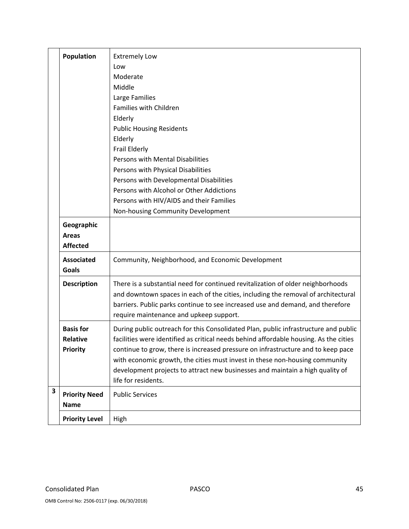|   | Population            | <b>Extremely Low</b>                                                                  |
|---|-----------------------|---------------------------------------------------------------------------------------|
|   |                       | Low                                                                                   |
|   |                       | Moderate                                                                              |
|   |                       | Middle                                                                                |
|   |                       | Large Families                                                                        |
|   |                       | Families with Children                                                                |
|   |                       | Elderly                                                                               |
|   |                       | <b>Public Housing Residents</b>                                                       |
|   |                       | Elderly                                                                               |
|   |                       | Frail Elderly                                                                         |
|   |                       | Persons with Mental Disabilities                                                      |
|   |                       | Persons with Physical Disabilities                                                    |
|   |                       | Persons with Developmental Disabilities                                               |
|   |                       | Persons with Alcohol or Other Addictions                                              |
|   |                       | Persons with HIV/AIDS and their Families                                              |
|   |                       | Non-housing Community Development                                                     |
|   | Geographic            |                                                                                       |
|   | <b>Areas</b>          |                                                                                       |
|   | <b>Affected</b>       |                                                                                       |
|   | <b>Associated</b>     | Community, Neighborhood, and Economic Development                                     |
|   | <b>Goals</b>          |                                                                                       |
|   | <b>Description</b>    | There is a substantial need for continued revitalization of older neighborhoods       |
|   |                       | and downtown spaces in each of the cities, including the removal of architectural     |
|   |                       | barriers. Public parks continue to see increased use and demand, and therefore        |
|   |                       | require maintenance and upkeep support.                                               |
|   | <b>Basis for</b>      | During public outreach for this Consolidated Plan, public infrastructure and public   |
|   | <b>Relative</b>       | facilities were identified as critical needs behind affordable housing. As the cities |
|   | Priority              | continue to grow, there is increased pressure on infrastructure and to keep pace      |
|   |                       | with economic growth, the cities must invest in these non-housing community           |
|   |                       | development projects to attract new businesses and maintain a high quality of         |
|   |                       | life for residents.                                                                   |
| 3 | <b>Priority Need</b>  | <b>Public Services</b>                                                                |
|   | <b>Name</b>           |                                                                                       |
|   | <b>Priority Level</b> | High                                                                                  |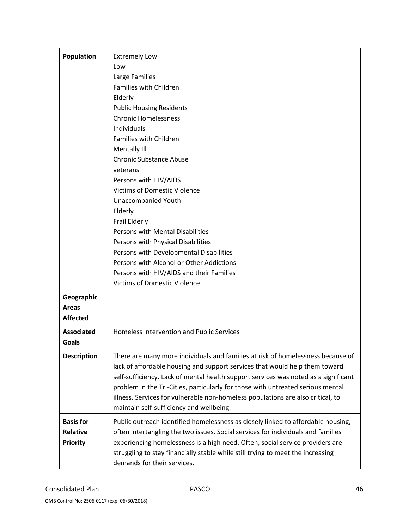|  | <b>Population</b>                                                               | <b>Extremely Low</b>                                                                |  |  |  |  |  |  |
|--|---------------------------------------------------------------------------------|-------------------------------------------------------------------------------------|--|--|--|--|--|--|
|  |                                                                                 | Low                                                                                 |  |  |  |  |  |  |
|  |                                                                                 | Large Families                                                                      |  |  |  |  |  |  |
|  |                                                                                 | Families with Children                                                              |  |  |  |  |  |  |
|  |                                                                                 | Elderly                                                                             |  |  |  |  |  |  |
|  |                                                                                 | <b>Public Housing Residents</b>                                                     |  |  |  |  |  |  |
|  |                                                                                 | <b>Chronic Homelessness</b>                                                         |  |  |  |  |  |  |
|  |                                                                                 | <b>Individuals</b>                                                                  |  |  |  |  |  |  |
|  |                                                                                 | <b>Families with Children</b>                                                       |  |  |  |  |  |  |
|  |                                                                                 | Mentally III                                                                        |  |  |  |  |  |  |
|  |                                                                                 | <b>Chronic Substance Abuse</b>                                                      |  |  |  |  |  |  |
|  |                                                                                 | veterans                                                                            |  |  |  |  |  |  |
|  |                                                                                 | Persons with HIV/AIDS                                                               |  |  |  |  |  |  |
|  |                                                                                 | <b>Victims of Domestic Violence</b>                                                 |  |  |  |  |  |  |
|  |                                                                                 | <b>Unaccompanied Youth</b>                                                          |  |  |  |  |  |  |
|  |                                                                                 | Elderly                                                                             |  |  |  |  |  |  |
|  |                                                                                 | Frail Elderly                                                                       |  |  |  |  |  |  |
|  |                                                                                 | Persons with Mental Disabilities                                                    |  |  |  |  |  |  |
|  | Persons with Physical Disabilities                                              |                                                                                     |  |  |  |  |  |  |
|  |                                                                                 | Persons with Developmental Disabilities                                             |  |  |  |  |  |  |
|  |                                                                                 | Persons with Alcohol or Other Addictions                                            |  |  |  |  |  |  |
|  |                                                                                 | Persons with HIV/AIDS and their Families                                            |  |  |  |  |  |  |
|  |                                                                                 | <b>Victims of Domestic Violence</b>                                                 |  |  |  |  |  |  |
|  | Geographic                                                                      |                                                                                     |  |  |  |  |  |  |
|  | Areas                                                                           |                                                                                     |  |  |  |  |  |  |
|  | <b>Affected</b>                                                                 |                                                                                     |  |  |  |  |  |  |
|  | <b>Associated</b>                                                               | <b>Homeless Intervention and Public Services</b>                                    |  |  |  |  |  |  |
|  | Goals                                                                           |                                                                                     |  |  |  |  |  |  |
|  | <b>Description</b>                                                              | There are many more individuals and families at risk of homelessness because of     |  |  |  |  |  |  |
|  |                                                                                 | lack of affordable housing and support services that would help them toward         |  |  |  |  |  |  |
|  |                                                                                 | self-sufficiency. Lack of mental health support services was noted as a significant |  |  |  |  |  |  |
|  |                                                                                 | problem in the Tri-Cities, particularly for those with untreated serious mental     |  |  |  |  |  |  |
|  | illness. Services for vulnerable non-homeless populations are also critical, to |                                                                                     |  |  |  |  |  |  |
|  |                                                                                 | maintain self-sufficiency and wellbeing.                                            |  |  |  |  |  |  |
|  | <b>Basis for</b>                                                                | Public outreach identified homelessness as closely linked to affordable housing,    |  |  |  |  |  |  |
|  | <b>Relative</b>                                                                 | often intertangling the two issues. Social services for individuals and families    |  |  |  |  |  |  |
|  | Priority                                                                        | experiencing homelessness is a high need. Often, social service providers are       |  |  |  |  |  |  |
|  |                                                                                 | struggling to stay financially stable while still trying to meet the increasing     |  |  |  |  |  |  |
|  |                                                                                 | demands for their services.                                                         |  |  |  |  |  |  |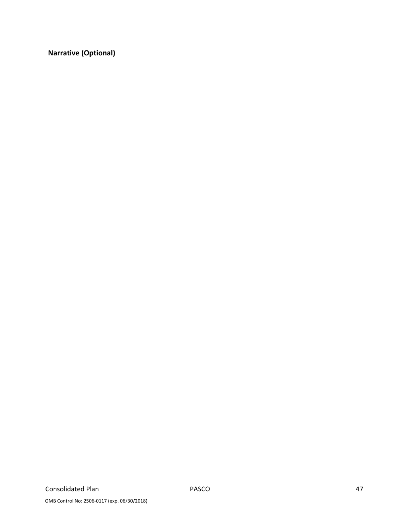**Narrative (Optional)**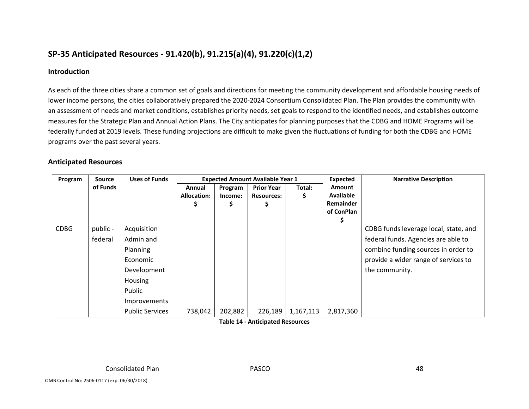# **SP-35 Anticipated Resources - 91.420(b), 91.215(a)(4), 91.220(c)(1,2)**

#### **Introduction**

As each of the three cities share a common set of goals and directions for meeting the community development and affordable housing needs of lower income persons, the cities collaboratively prepared the 2020-2024 Consortium Consolidated Plan. The Plan provides the community with an assessment of needs and market conditions, establishes priority needs, set goals to respond to the identified needs, and establishes outcome measures for the Strategic Plan and Annual Action Plans. The City anticipates for planning purposes that the CDBG and HOME Programs will be federally funded at 2019 levels. These funding projections are difficult to make given the fluctuations of funding for both the CDBG and HOME programs over the past several years.

#### **Anticipated Resources**

| Program     | <b>Source</b>       | <b>Uses of Funds</b>                                                                                 |                              |                    | <b>Expected Amount Available Year 1</b> |              | Expected                                                            | <b>Narrative Description</b>                                                                                                                                                  |
|-------------|---------------------|------------------------------------------------------------------------------------------------------|------------------------------|--------------------|-----------------------------------------|--------------|---------------------------------------------------------------------|-------------------------------------------------------------------------------------------------------------------------------------------------------------------------------|
|             | of Funds            |                                                                                                      | Annual<br><b>Allocation:</b> | Program<br>Income: | <b>Prior Year</b><br><b>Resources:</b>  | Total:<br>\$ | <b>Amount</b><br><b>Available</b><br><b>Remainder</b><br>of ConPlan |                                                                                                                                                                               |
| <b>CDBG</b> | public -<br>federal | Acquisition<br>Admin and<br>Planning<br>Economic<br>Development<br>Housing<br>Public<br>Improvements |                              |                    |                                         |              |                                                                     | CDBG funds leverage local, state, and<br>federal funds. Agencies are able to<br>combine funding sources in order to<br>provide a wider range of services to<br>the community. |
|             |                     | <b>Public Services</b>                                                                               | 738,042                      | 202,882            | 226,189                                 | 1,167,113    | 2,817,360                                                           |                                                                                                                                                                               |

**Table 14 - Anticipated Resources**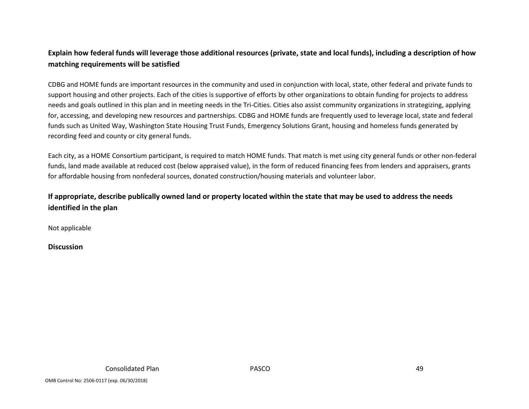## **Explain how federal funds will leverage those additional resources (private, state and local funds), including a description of how matching requirements will be satisfied**

CDBG and HOME funds are important resources in the community and used in conjunction with local, state, other federal and private funds to support housing and other projects. Each of the cities is supportive of efforts by other organizations to obtain funding for projects to address needs and goals outlined in this plan and in meeting needs in the Tri-Cities. Cities also assist community organizations in strategizing, applying for, accessing, and developing new resources and partnerships. CDBG and HOME funds are frequently used to leverage local, state and federal funds such as United Way, Washington State Housing Trust Funds, Emergency Solutions Grant, housing and homeless funds generated by recording feed and county or city general funds.

Each city, as a HOME Consortium participant, is required to match HOME funds. That match is met using city general funds or other non-federal funds, land made available at reduced cost (below appraised value), in the form of reduced financing fees from lenders and appraisers, grants for affordable housing from nonfederal sources, donated construction/housing materials and volunteer labor.

## **If appropriate, describe publically owned land or property located within the state that may be used to address the needs identified in the plan**

Not applicable

**Discussion**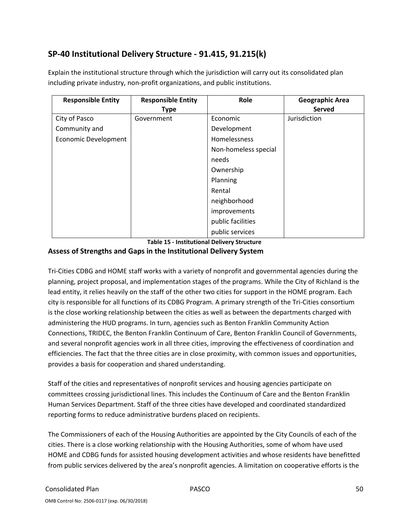# **SP-40 Institutional Delivery Structure - 91.415, 91.215(k)**

Explain the institutional structure through which the jurisdiction will carry out its consolidated plan including private industry, non-profit organizations, and public institutions.

| <b>Responsible Entity</b>   | <b>Responsible Entity</b> | Role                 | <b>Geographic Area</b> |
|-----------------------------|---------------------------|----------------------|------------------------|
|                             | <b>Type</b>               |                      | Served                 |
| City of Pasco               | Government                | Economic             | Jurisdiction           |
| Community and               |                           | Development          |                        |
| <b>Economic Development</b> |                           | Homelessness         |                        |
|                             |                           | Non-homeless special |                        |
|                             |                           | needs                |                        |
|                             |                           | Ownership            |                        |
|                             |                           | Planning             |                        |
|                             |                           | Rental               |                        |
|                             |                           | neighborhood         |                        |
|                             |                           | improvements         |                        |
|                             |                           | public facilities    |                        |
|                             |                           | public services      |                        |

#### **Table 15 - Institutional Delivery Structure Assess of Strengths and Gaps in the Institutional Delivery System**

Tri-Cities CDBG and HOME staff works with a variety of nonprofit and governmental agencies during the planning, project proposal, and implementation stages of the programs. While the City of Richland is the lead entity, it relies heavily on the staff of the other two cities for support in the HOME program. Each city is responsible for all functions of its CDBG Program. A primary strength of the Tri-Cities consortium is the close working relationship between the cities as well as between the departments charged with administering the HUD programs. In turn, agencies such as Benton Franklin Community Action Connections, TRIDEC, the Benton Franklin Continuum of Care, Benton Franklin Council of Governments, and several nonprofit agencies work in all three cities, improving the effectiveness of coordination and efficiencies. The fact that the three cities are in close proximity, with common issues and opportunities, provides a basis for cooperation and shared understanding.

Staff of the cities and representatives of nonprofit services and housing agencies participate on committees crossing jurisdictional lines. This includes the Continuum of Care and the Benton Franklin Human Services Department. Staff of the three cities have developed and coordinated standardized reporting forms to reduce administrative burdens placed on recipients.

The Commissioners of each of the Housing Authorities are appointed by the City Councils of each of the cities. There is a close working relationship with the Housing Authorities, some of whom have used HOME and CDBG funds for assisted housing development activities and whose residents have benefitted from public services delivered by the area's nonprofit agencies. A limitation on cooperative efforts is the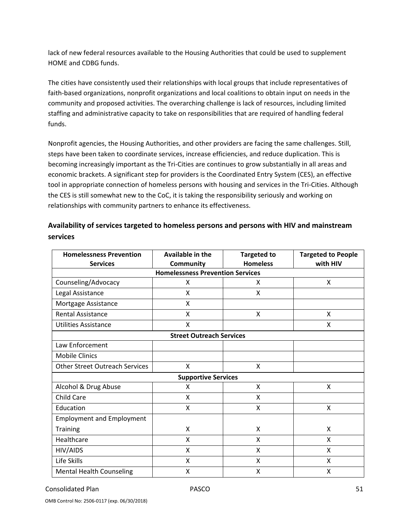lack of new federal resources available to the Housing Authorities that could be used to supplement HOME and CDBG funds.

The cities have consistently used their relationships with local groups that include representatives of faith-based organizations, nonprofit organizations and local coalitions to obtain input on needs in the community and proposed activities. The overarching challenge is lack of resources, including limited staffing and administrative capacity to take on responsibilities that are required of handling federal funds.

Nonprofit agencies, the Housing Authorities, and other providers are facing the same challenges. Still, steps have been taken to coordinate services, increase efficiencies, and reduce duplication. This is becoming increasingly important as the Tri-Cities are continues to grow substantially in all areas and economic brackets. A significant step for providers is the Coordinated Entry System (CES), an effective tool in appropriate connection of homeless persons with housing and services in the Tri-Cities. Although the CES is still somewhat new to the CoC, it is taking the responsibility seriously and working on relationships with community partners to enhance its effectiveness.

| <b>Homelessness Prevention</b>        | Available in the                        | <b>Targeted to</b> | <b>Targeted to People</b> |  |  |
|---------------------------------------|-----------------------------------------|--------------------|---------------------------|--|--|
| <b>Services</b>                       | Community                               | <b>Homeless</b>    |                           |  |  |
|                                       | <b>Homelessness Prevention Services</b> |                    |                           |  |  |
| Counseling/Advocacy                   | X                                       | X                  | X                         |  |  |
| Legal Assistance                      | X                                       | X                  |                           |  |  |
| Mortgage Assistance                   | X                                       |                    |                           |  |  |
| <b>Rental Assistance</b>              | X                                       | X                  | X                         |  |  |
| <b>Utilities Assistance</b>           | X                                       |                    | X                         |  |  |
|                                       | <b>Street Outreach Services</b>         |                    |                           |  |  |
| Law Enforcement                       |                                         |                    |                           |  |  |
| <b>Mobile Clinics</b>                 |                                         |                    |                           |  |  |
| <b>Other Street Outreach Services</b> | X                                       | X                  |                           |  |  |
|                                       | <b>Supportive Services</b>              |                    |                           |  |  |
| Alcohol & Drug Abuse                  | X                                       | X                  | X                         |  |  |
| Child Care                            | X                                       | X                  |                           |  |  |
| Education                             | X                                       | X                  | X                         |  |  |
| <b>Employment and Employment</b>      |                                         |                    |                           |  |  |
| <b>Training</b>                       | X                                       | X                  | X                         |  |  |
| Healthcare                            | X                                       | X                  | X                         |  |  |
| HIV/AIDS                              | X                                       | X                  | X                         |  |  |
| Life Skills                           | X                                       | X                  | X                         |  |  |
| <b>Mental Health Counseling</b>       | X                                       | X                  | X                         |  |  |

## **Availability of services targeted to homeless persons and persons with HIV and mainstream services**

Consolidated Plan 61 and 2008 1999 PASCO 61 and 2008 1999 PASCO 61 and 2008 1999 PASCO 61 and 2008 1999 PASCO 61 and 2008 1999 PASCO 61 and 2009 1999 PASCO 61 and 2009 1999 PASCO 61 and 2009 1999 PASCO 61 and 2009 1999 PAS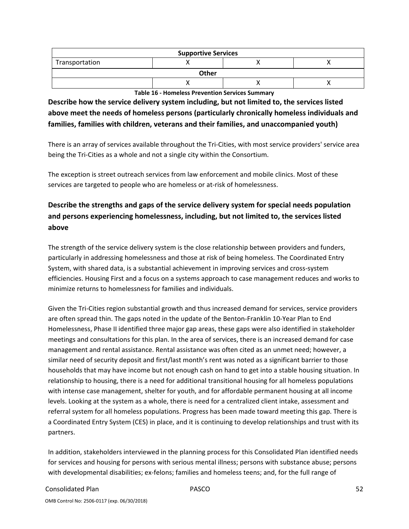| <b>Supportive Services</b> |       |  |  |  |  |  |  |  |  |
|----------------------------|-------|--|--|--|--|--|--|--|--|
| Transportation             |       |  |  |  |  |  |  |  |  |
|                            | Other |  |  |  |  |  |  |  |  |
|                            |       |  |  |  |  |  |  |  |  |

#### **Table 16 - Homeless Prevention Services Summary**

## **Describe how the service delivery system including, but not limited to, the services listed above meet the needs of homeless persons (particularly chronically homeless individuals and families, families with children, veterans and their families, and unaccompanied youth)**

There is an array of services available throughout the Tri-Cities, with most service providers' service area being the Tri-Cities as a whole and not a single city within the Consortium.

The exception is street outreach services from law enforcement and mobile clinics. Most of these services are targeted to people who are homeless or at-risk of homelessness.

## **Describe the strengths and gaps of the service delivery system for special needs population and persons experiencing homelessness, including, but not limited to, the services listed above**

The strength of the service delivery system is the close relationship between providers and funders, particularly in addressing homelessness and those at risk of being homeless. The Coordinated Entry System, with shared data, is a substantial achievement in improving services and cross-system efficiencies. Housing First and a focus on a systems approach to case management reduces and works to minimize returns to homelessness for families and individuals.

Given the Tri-Cities region substantial growth and thus increased demand for services, service providers are often spread thin. The gaps noted in the update of the Benton-Franklin 10-Year Plan to End Homelessness, Phase II identified three major gap areas, these gaps were also identified in stakeholder meetings and consultations for this plan. In the area of services, there is an increased demand for case management and rental assistance. Rental assistance was often cited as an unmet need; however, a similar need of security deposit and first/last month's rent was noted as a significant barrier to those households that may have income but not enough cash on hand to get into a stable housing situation. In relationship to housing, there is a need for additional transitional housing for all homeless populations with intense case management, shelter for youth, and for affordable permanent housing at all income levels. Looking at the system as a whole, there is need for a centralized client intake, assessment and referral system for all homeless populations. Progress has been made toward meeting this gap. There is a Coordinated Entry System (CES) in place, and it is continuing to develop relationships and trust with its partners.

In addition, stakeholders interviewed in the planning process for this Consolidated Plan identified needs for services and housing for persons with serious mental illness; persons with substance abuse; persons with developmental disabilities; ex-felons; families and homeless teens; and, for the full range of

#### Consolidated Plan 52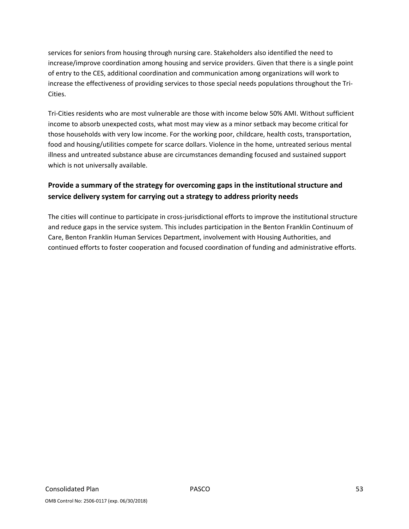services for seniors from housing through nursing care. Stakeholders also identified the need to increase/improve coordination among housing and service providers. Given that there is a single point of entry to the CES, additional coordination and communication among organizations will work to increase the effectiveness of providing services to those special needs populations throughout the Tri-Cities.

Tri-Cities residents who are most vulnerable are those with income below 50% AMI. Without sufficient income to absorb unexpected costs, what most may view as a minor setback may become critical for those households with very low income. For the working poor, childcare, health costs, transportation, food and housing/utilities compete for scarce dollars. Violence in the home, untreated serious mental illness and untreated substance abuse are circumstances demanding focused and sustained support which is not universally available.

## **Provide a summary of the strategy for overcoming gaps in the institutional structure and service delivery system for carrying out a strategy to address priority needs**

The cities will continue to participate in cross-jurisdictional efforts to improve the institutional structure and reduce gaps in the service system. This includes participation in the Benton Franklin Continuum of Care, Benton Franklin Human Services Department, involvement with Housing Authorities, and continued efforts to foster cooperation and focused coordination of funding and administrative efforts.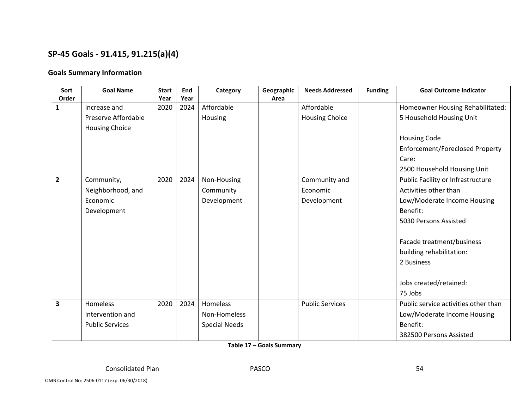# **SP-45 Goals - 91.415, 91.215(a)(4)**

## **Goals Summary Information**

| Sort           | <b>Goal Name</b>       | <b>Start</b> | End  | Category             | Geographic | <b>Needs Addressed</b> | <b>Funding</b> | <b>Goal Outcome Indicator</b>        |
|----------------|------------------------|--------------|------|----------------------|------------|------------------------|----------------|--------------------------------------|
| Order          |                        | Year         | Year |                      | Area       |                        |                |                                      |
| 1              | Increase and           | 2020         | 2024 | Affordable           |            | Affordable             |                | Homeowner Housing Rehabilitated:     |
|                | Preserve Affordable    |              |      | Housing              |            | <b>Housing Choice</b>  |                | 5 Household Housing Unit             |
|                | <b>Housing Choice</b>  |              |      |                      |            |                        |                |                                      |
|                |                        |              |      |                      |            |                        |                | <b>Housing Code</b>                  |
|                |                        |              |      |                      |            |                        |                | Enforcement/Foreclosed Property      |
|                |                        |              |      |                      |            |                        |                | Care:                                |
|                |                        |              |      |                      |            |                        |                | 2500 Household Housing Unit          |
| $\overline{2}$ | Community,             | 2020         | 2024 | Non-Housing          |            | Community and          |                | Public Facility or Infrastructure    |
|                | Neighborhood, and      |              |      | Community            |            | Economic               |                | Activities other than                |
|                | Economic               |              |      | Development          |            | Development            |                | Low/Moderate Income Housing          |
|                | Development            |              |      |                      |            |                        |                | Benefit:                             |
|                |                        |              |      |                      |            |                        |                | 5030 Persons Assisted                |
|                |                        |              |      |                      |            |                        |                |                                      |
|                |                        |              |      |                      |            |                        |                | Facade treatment/business            |
|                |                        |              |      |                      |            |                        |                | building rehabilitation:             |
|                |                        |              |      |                      |            |                        |                | 2 Business                           |
|                |                        |              |      |                      |            |                        |                |                                      |
|                |                        |              |      |                      |            |                        |                | Jobs created/retained:               |
|                |                        |              |      |                      |            |                        |                | 75 Jobs                              |
| 3              | Homeless               | 2020         | 2024 | Homeless             |            | <b>Public Services</b> |                | Public service activities other than |
|                | Intervention and       |              |      | Non-Homeless         |            |                        |                | Low/Moderate Income Housing          |
|                | <b>Public Services</b> |              |      | <b>Special Needs</b> |            |                        |                | Benefit:                             |
|                |                        |              |      |                      |            |                        |                | 382500 Persons Assisted              |

**Table 17 – Goals Summary**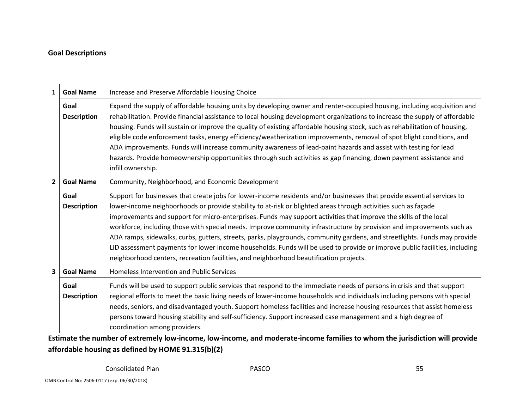### **Goal Descriptions**

| <b>Goal Name</b><br>Increase and Preserve Affordable Housing Choice<br>$\mathbf{1}$     |                            |                                                                                                                                                                                                                                                                                                                                                                                                                                                                                                                                                                                                                                                                                                                                                                                                                                              |  |  |  |  |  |
|-----------------------------------------------------------------------------------------|----------------------------|----------------------------------------------------------------------------------------------------------------------------------------------------------------------------------------------------------------------------------------------------------------------------------------------------------------------------------------------------------------------------------------------------------------------------------------------------------------------------------------------------------------------------------------------------------------------------------------------------------------------------------------------------------------------------------------------------------------------------------------------------------------------------------------------------------------------------------------------|--|--|--|--|--|
|                                                                                         | Goal<br><b>Description</b> | Expand the supply of affordable housing units by developing owner and renter-occupied housing, including acquisition and<br>rehabilitation. Provide financial assistance to local housing development organizations to increase the supply of affordable<br>housing. Funds will sustain or improve the quality of existing affordable housing stock, such as rehabilitation of housing,<br>eligible code enforcement tasks, energy efficiency/weatherization improvements, removal of spot blight conditions, and<br>ADA improvements. Funds will increase community awareness of lead-paint hazards and assist with testing for lead<br>hazards. Provide homeownership opportunities through such activities as gap financing, down payment assistance and<br>infill ownership.                                                             |  |  |  |  |  |
| $\overline{2}$<br><b>Goal Name</b><br>Community, Neighborhood, and Economic Development |                            |                                                                                                                                                                                                                                                                                                                                                                                                                                                                                                                                                                                                                                                                                                                                                                                                                                              |  |  |  |  |  |
|                                                                                         | Goal<br><b>Description</b> | Support for businesses that create jobs for lower-income residents and/or businesses that provide essential services to<br>lower-income neighborhoods or provide stability to at-risk or blighted areas through activities such as façade<br>improvements and support for micro-enterprises. Funds may support activities that improve the skills of the local<br>workforce, including those with special needs. Improve community infrastructure by provision and improvements such as<br>ADA ramps, sidewalks, curbs, gutters, streets, parks, playgrounds, community gardens, and streetlights. Funds may provide<br>LID assessment payments for lower income households. Funds will be used to provide or improve public facilities, including<br>neighborhood centers, recreation facilities, and neighborhood beautification projects. |  |  |  |  |  |
| 3                                                                                       | <b>Goal Name</b>           | Homeless Intervention and Public Services                                                                                                                                                                                                                                                                                                                                                                                                                                                                                                                                                                                                                                                                                                                                                                                                    |  |  |  |  |  |
|                                                                                         | Goal<br><b>Description</b> | Funds will be used to support public services that respond to the immediate needs of persons in crisis and that support<br>regional efforts to meet the basic living needs of lower-income households and individuals including persons with special<br>needs, seniors, and disadvantaged youth. Support homeless facilities and increase housing resources that assist homeless<br>persons toward housing stability and self-sufficiency. Support increased case management and a high degree of<br>coordination among providers.                                                                                                                                                                                                                                                                                                           |  |  |  |  |  |

**Estimate the number of extremely low-income, low-income, and moderate-income families to whom the jurisdiction will provide affordable housing as defined by HOME 91.315(b)(2)**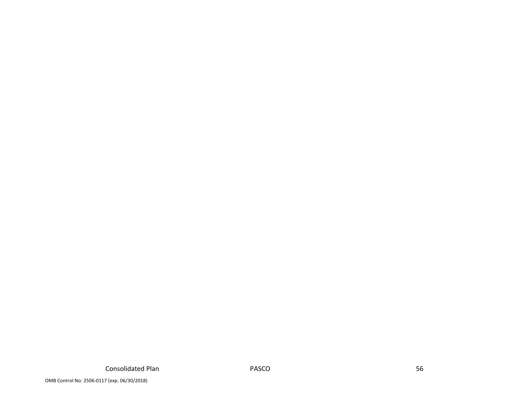Consolidated Plan **PASCO** 56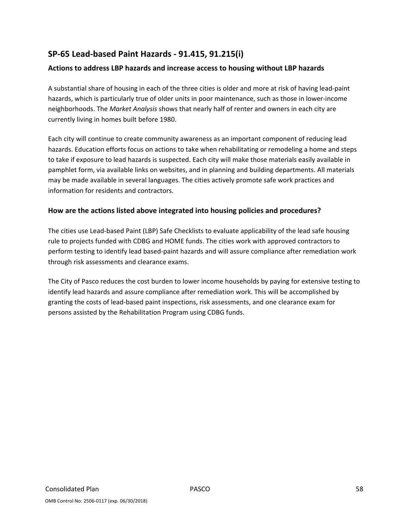## **SP-65 Lead-based Paint Hazards - 91.415, 91.215(i)**

#### **Actions to address LBP hazards and increase access to housing without LBP hazards**

A substantial share of housing in each of the three cities is older and more at risk of having lead-paint hazards, which is particularly true of older units in poor maintenance, such as those in lower-income neighborhoods. The *Market Analysis* shows that nearly half of renter and owners in each city are currently living in homes built before 1980.

Each city will continue to create community awareness as an important component of reducing lead hazards. Education efforts focus on actions to take when rehabilitating or remodeling a home and steps to take if exposure to lead hazards is suspected. Each city will make those materials easily available in pamphlet form, via available links on websites, and in planning and building departments. All materials may be made available in several languages. The cities actively promote safe work practices and information for residents and contractors.

#### **How are the actions listed above integrated into housing policies and procedures?**

The cities use Lead-based Paint (LBP) Safe Checklists to evaluate applicability of the lead safe housing rule to projects funded with CDBG and HOME funds. The cities work with approved contractors to perform testing to identify lead based-paint hazards and will assure compliance after remediation work through risk assessments and clearance exams.

The City of Pasco reduces the cost burden to lower income households by paying for extensive testing to identify lead hazards and assure compliance after remediation work. This will be accomplished by granting the costs of lead-based paint inspections, risk assessments, and one clearance exam for persons assisted by the Rehabilitation Program using CDBG funds.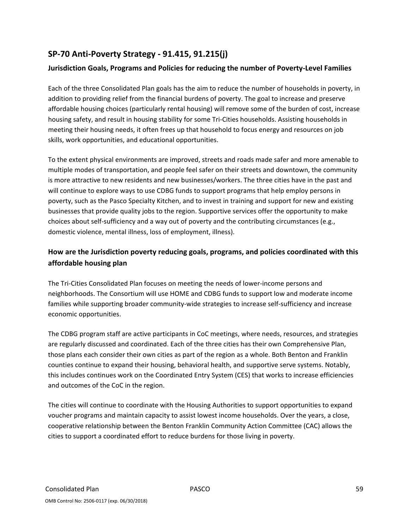## **SP-70 Anti-Poverty Strategy - 91.415, 91.215(j)**

### **Jurisdiction Goals, Programs and Policies for reducing the number of Poverty-Level Families**

Each of the three Consolidated Plan goals has the aim to reduce the number of households in poverty, in addition to providing relief from the financial burdens of poverty. The goal to increase and preserve affordable housing choices (particularly rental housing) will remove some of the burden of cost, increase housing safety, and result in housing stability for some Tri-Cities households. Assisting households in meeting their housing needs, it often frees up that household to focus energy and resources on job skills, work opportunities, and educational opportunities.

To the extent physical environments are improved, streets and roads made safer and more amenable to multiple modes of transportation, and people feel safer on their streets and downtown, the community is more attractive to new residents and new businesses/workers. The three cities have in the past and will continue to explore ways to use CDBG funds to support programs that help employ persons in poverty, such as the Pasco Specialty Kitchen, and to invest in training and support for new and existing businesses that provide quality jobs to the region. Supportive services offer the opportunity to make choices about self-sufficiency and a way out of poverty and the contributing circumstances (e.g., domestic violence, mental illness, loss of employment, illness).

## **How are the Jurisdiction poverty reducing goals, programs, and policies coordinated with this affordable housing plan**

The Tri-Cities Consolidated Plan focuses on meeting the needs of lower-income persons and neighborhoods. The Consortium will use HOME and CDBG funds to support low and moderate income families while supporting broader community-wide strategies to increase self-sufficiency and increase economic opportunities.

The CDBG program staff are active participants in CoC meetings, where needs, resources, and strategies are regularly discussed and coordinated. Each of the three cities has their own Comprehensive Plan, those plans each consider their own cities as part of the region as a whole. Both Benton and Franklin counties continue to expand their housing, behavioral health, and supportive serve systems. Notably, this includes continues work on the Coordinated Entry System (CES) that works to increase efficiencies and outcomes of the CoC in the region.

The cities will continue to coordinate with the Housing Authorities to support opportunities to expand voucher programs and maintain capacity to assist lowest income households. Over the years, a close, cooperative relationship between the Benton Franklin Community Action Committee (CAC) allows the cities to support a coordinated effort to reduce burdens for those living in poverty.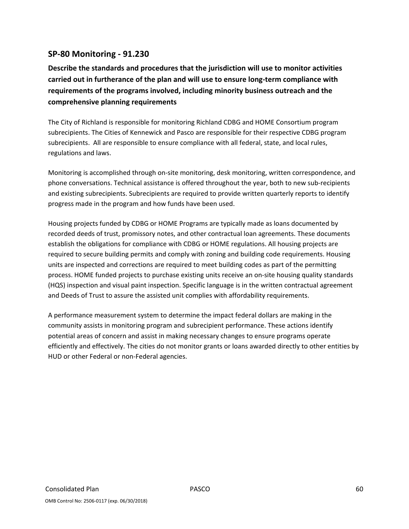## **SP-80 Monitoring - 91.230**

**Describe the standards and procedures that the jurisdiction will use to monitor activities carried out in furtherance of the plan and will use to ensure long-term compliance with requirements of the programs involved, including minority business outreach and the comprehensive planning requirements**

The City of Richland is responsible for monitoring Richland CDBG and HOME Consortium program subrecipients. The Cities of Kennewick and Pasco are responsible for their respective CDBG program subrecipients. All are responsible to ensure compliance with all federal, state, and local rules, regulations and laws.

Monitoring is accomplished through on-site monitoring, desk monitoring, written correspondence, and phone conversations. Technical assistance is offered throughout the year, both to new sub-recipients and existing subrecipients. Subrecipients are required to provide written quarterly reports to identify progress made in the program and how funds have been used.

Housing projects funded by CDBG or HOME Programs are typically made as loans documented by recorded deeds of trust, promissory notes, and other contractual loan agreements. These documents establish the obligations for compliance with CDBG or HOME regulations. All housing projects are required to secure building permits and comply with zoning and building code requirements. Housing units are inspected and corrections are required to meet building codes as part of the permitting process. HOME funded projects to purchase existing units receive an on-site housing quality standards (HQS) inspection and visual paint inspection. Specific language is in the written contractual agreement and Deeds of Trust to assure the assisted unit complies with affordability requirements.

A performance measurement system to determine the impact federal dollars are making in the community assists in monitoring program and subrecipient performance. These actions identify potential areas of concern and assist in making necessary changes to ensure programs operate efficiently and effectively. The cities do not monitor grants or loans awarded directly to other entities by HUD or other Federal or non-Federal agencies.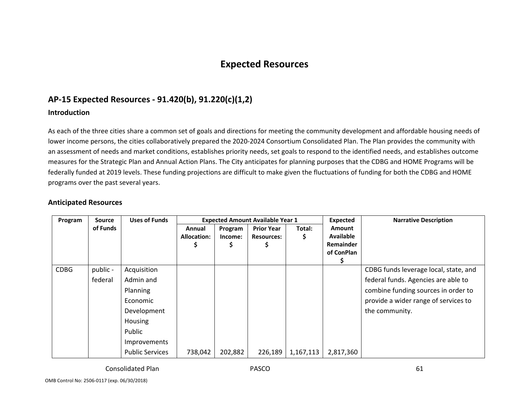# **Expected Resources**

## **AP-15 Expected Resources - 91.420(b), 91.220(c)(1,2)**

#### **Introduction**

As each of the three cities share a common set of goals and directions for meeting the community development and affordable housing needs of lower income persons, the cities collaboratively prepared the 2020-2024 Consortium Consolidated Plan. The Plan provides the community with an assessment of needs and market conditions, establishes priority needs, set goals to respond to the identified needs, and establishes outcome measures for the Strategic Plan and Annual Action Plans. The City anticipates for planning purposes that the CDBG and HOME Programs will be federally funded at 2019 levels. These funding projections are difficult to make given the fluctuations of funding for both the CDBG and HOME programs over the past several years.

#### **Anticipated Resources**

| Program     | <b>Source</b>       | <b>Uses of Funds</b>                                                                                                           | <b>Expected Amount Available Year 1</b> |                    | <b>Expected</b>                        | <b>Narrative Description</b> |                                                                     |                                                                                                                                                                               |
|-------------|---------------------|--------------------------------------------------------------------------------------------------------------------------------|-----------------------------------------|--------------------|----------------------------------------|------------------------------|---------------------------------------------------------------------|-------------------------------------------------------------------------------------------------------------------------------------------------------------------------------|
|             | of Funds            |                                                                                                                                | Annual<br><b>Allocation:</b>            | Program<br>Income: | <b>Prior Year</b><br><b>Resources:</b> | Total:<br>Ş                  | <b>Amount</b><br><b>Available</b><br><b>Remainder</b><br>of ConPlan |                                                                                                                                                                               |
| <b>CDBG</b> | public -<br>federal | Acquisition<br>Admin and<br>Planning<br>Economic<br>Development<br>Housing<br>Public<br>Improvements<br><b>Public Services</b> | 738,042                                 | 202,882            | 226,189                                | 1,167,113                    | 2,817,360                                                           | CDBG funds leverage local, state, and<br>federal funds. Agencies are able to<br>combine funding sources in order to<br>provide a wider range of services to<br>the community. |

Consolidated Plan 61 and 200 and 200 and 200 and 200 and 200 and 200 and 200 and 200 and 200 and 200 and 200 and 200 and 200 and 200 and 200 and 200 and 200 and 200 and 200 and 200 and 200 and 200 and 200 and 200 and 200 a

OMB Control No: 2506-0117 (exp. 06/30/2018)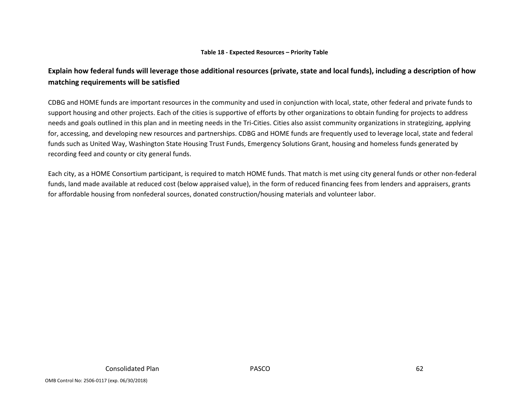#### **Table 18 - Expected Resources – Priority Table**

## **Explain how federal funds will leverage those additional resources (private, state and local funds), including a description of how matching requirements will be satisfied**

CDBG and HOME funds are important resources in the community and used in conjunction with local, state, other federal and private funds to support housing and other projects. Each of the cities is supportive of efforts by other organizations to obtain funding for projects to address needs and goals outlined in this plan and in meeting needs in the Tri-Cities. Cities also assist community organizations in strategizing, applying for, accessing, and developing new resources and partnerships. CDBG and HOME funds are frequently used to leverage local, state and federal funds such as United Way, Washington State Housing Trust Funds, Emergency Solutions Grant, housing and homeless funds generated by recording feed and county or city general funds.

Each city, as a HOME Consortium participant, is required to match HOME funds. That match is met using city general funds or other non-federal funds, land made available at reduced cost (below appraised value), in the form of reduced financing fees from lenders and appraisers, grants for affordable housing from nonfederal sources, donated construction/housing materials and volunteer labor.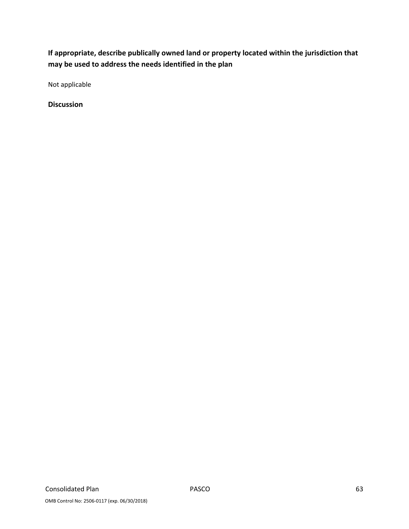# **If appropriate, describe publically owned land or property located within the jurisdiction that may be used to address the needs identified in the plan**

Not applicable

**Discussion**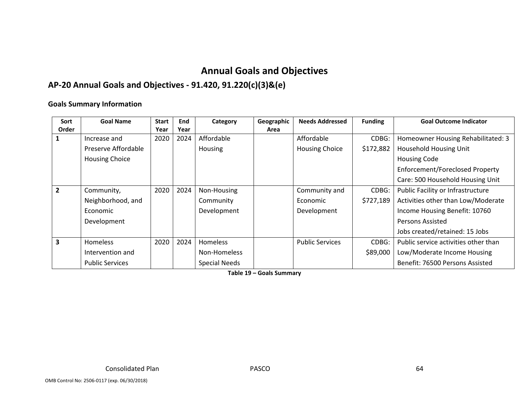# **Annual Goals and Objectives**

# **AP-20 Annual Goals and Objectives - 91.420, 91.220(c)(3)&(e)**

### **Goals Summary Information**

| Sort           | <b>Goal Name</b>       | <b>Start</b> | End  | Category             | Geographic | <b>Needs Addressed</b> | <b>Funding</b> | <b>Goal Outcome Indicator</b>        |
|----------------|------------------------|--------------|------|----------------------|------------|------------------------|----------------|--------------------------------------|
| Order          |                        | Year         | Year |                      | Area       |                        |                |                                      |
|                | Increase and           | 2020         | 2024 | Affordable           |            | Affordable             | CDBG:          | Homeowner Housing Rehabilitated: 3   |
|                | Preserve Affordable    |              |      | <b>Housing</b>       |            | <b>Housing Choice</b>  | \$172,882      | <b>Household Housing Unit</b>        |
|                | <b>Housing Choice</b>  |              |      |                      |            |                        |                | <b>Housing Code</b>                  |
|                |                        |              |      |                      |            |                        |                | Enforcement/Foreclosed Property      |
|                |                        |              |      |                      |            |                        |                | Care: 500 Household Housing Unit     |
| $\overline{2}$ | Community,             | 2020         | 2024 | Non-Housing          |            | Community and          | CDBG:          | Public Facility or Infrastructure    |
|                | Neighborhood, and      |              |      | Community            |            | Economic               | \$727,189      | Activities other than Low/Moderate   |
|                | Economic               |              |      | Development          |            | Development            |                | Income Housing Benefit: 10760        |
|                | Development            |              |      |                      |            |                        |                | Persons Assisted                     |
|                |                        |              |      |                      |            |                        |                | Jobs created/retained: 15 Jobs       |
| 3              | <b>Homeless</b>        | 2020         | 2024 | <b>Homeless</b>      |            | <b>Public Services</b> | CDBG:          | Public service activities other than |
|                | Intervention and       |              |      | Non-Homeless         |            |                        | \$89,000       | Low/Moderate Income Housing          |
|                | <b>Public Services</b> |              |      | <b>Special Needs</b> |            |                        |                | Benefit: 76500 Persons Assisted      |

**Table 19 – Goals Summary**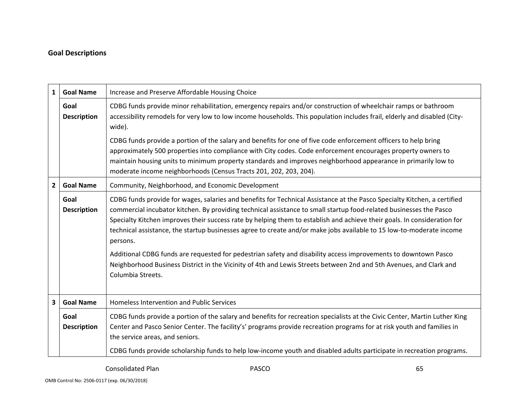## **Goal Descriptions**

| $\mathbf{1}$            | <b>Goal Name</b>           | Increase and Preserve Affordable Housing Choice                                                                                                                                                                                                                                                                                                                                                                                                                                                                                                                                                                                                                                                                                                                             |  |
|-------------------------|----------------------------|-----------------------------------------------------------------------------------------------------------------------------------------------------------------------------------------------------------------------------------------------------------------------------------------------------------------------------------------------------------------------------------------------------------------------------------------------------------------------------------------------------------------------------------------------------------------------------------------------------------------------------------------------------------------------------------------------------------------------------------------------------------------------------|--|
|                         | Goal<br><b>Description</b> | CDBG funds provide minor rehabilitation, emergency repairs and/or construction of wheelchair ramps or bathroom<br>accessibility remodels for very low to low income households. This population includes frail, elderly and disabled (City-<br>wide).<br>CDBG funds provide a portion of the salary and benefits for one of five code enforcement officers to help bring                                                                                                                                                                                                                                                                                                                                                                                                    |  |
|                         |                            | approximately 500 properties into compliance with City codes. Code enforcement encourages property owners to<br>maintain housing units to minimum property standards and improves neighborhood appearance in primarily low to<br>moderate income neighborhoods (Census Tracts 201, 202, 203, 204).                                                                                                                                                                                                                                                                                                                                                                                                                                                                          |  |
| $\overline{2}$          | <b>Goal Name</b>           | Community, Neighborhood, and Economic Development                                                                                                                                                                                                                                                                                                                                                                                                                                                                                                                                                                                                                                                                                                                           |  |
|                         | Goal<br><b>Description</b> | CDBG funds provide for wages, salaries and benefits for Technical Assistance at the Pasco Specialty Kitchen, a certified<br>commercial incubator kitchen. By providing technical assistance to small startup food-related businesses the Pasco<br>Specialty Kitchen improves their success rate by helping them to establish and achieve their goals. In consideration for<br>technical assistance, the startup businesses agree to create and/or make jobs available to 15 low-to-moderate income<br>persons.<br>Additional CDBG funds are requested for pedestrian safety and disability access improvements to downtown Pasco<br>Neighborhood Business District in the Vicinity of 4th and Lewis Streets between 2nd and 5th Avenues, and Clark and<br>Columbia Streets. |  |
| $\overline{\mathbf{3}}$ | <b>Goal Name</b>           | Homeless Intervention and Public Services                                                                                                                                                                                                                                                                                                                                                                                                                                                                                                                                                                                                                                                                                                                                   |  |
|                         | Goal<br><b>Description</b> | CDBG funds provide a portion of the salary and benefits for recreation specialists at the Civic Center, Martin Luther King<br>Center and Pasco Senior Center. The facility's' programs provide recreation programs for at risk youth and families in<br>the service areas, and seniors.                                                                                                                                                                                                                                                                                                                                                                                                                                                                                     |  |
|                         |                            | CDBG funds provide scholarship funds to help low-income youth and disabled adults participate in recreation programs.                                                                                                                                                                                                                                                                                                                                                                                                                                                                                                                                                                                                                                                       |  |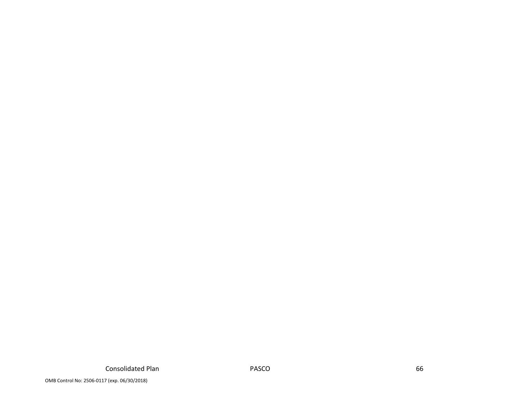Consolidated Plan 66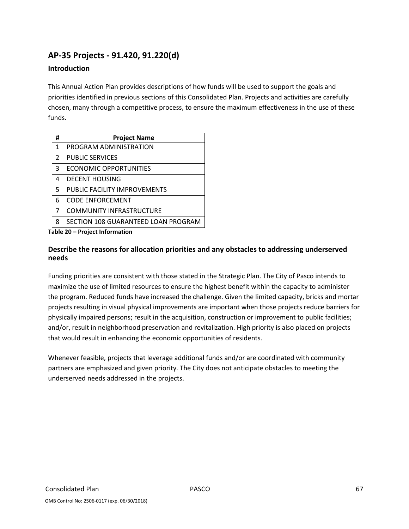## **AP-35 Projects - 91.420, 91.220(d)**

### **Introduction**

This Annual Action Plan provides descriptions of how funds will be used to support the goals and priorities identified in previous sections of this Consolidated Plan. Projects and activities are carefully chosen, many through a competitive process, to ensure the maximum effectiveness in the use of these funds.

| #              | <b>Project Name</b>                 |  |
|----------------|-------------------------------------|--|
| 1              | PROGRAM ADMINISTRATION              |  |
| $\mathfrak{p}$ | <b>PUBLIC SERVICES</b>              |  |
| 3              | ECONOMIC OPPORTUNITIES              |  |
| 4              | <b>DECENT HOUSING</b>               |  |
| 5              | PUBLIC FACILITY IMPROVEMENTS        |  |
| 6              | <b>CODE ENFORCEMENT</b>             |  |
| 7              | <b>COMMUNITY INFRASTRUCTURE</b>     |  |
| 8              | SECTION 108 GUARANTEED LOAN PROGRAM |  |

**Table 20 – Project Information**

#### **Describe the reasons for allocation priorities and any obstacles to addressing underserved needs**

Funding priorities are consistent with those stated in the Strategic Plan. The City of Pasco intends to maximize the use of limited resources to ensure the highest benefit within the capacity to administer the program. Reduced funds have increased the challenge. Given the limited capacity, bricks and mortar projects resulting in visual physical improvements are important when those projects reduce barriers for physically impaired persons; result in the acquisition, construction or improvement to public facilities; and/or, result in neighborhood preservation and revitalization. High priority is also placed on projects that would result in enhancing the economic opportunities of residents.

Whenever feasible, projects that leverage additional funds and/or are coordinated with community partners are emphasized and given priority. The City does not anticipate obstacles to meeting the underserved needs addressed in the projects.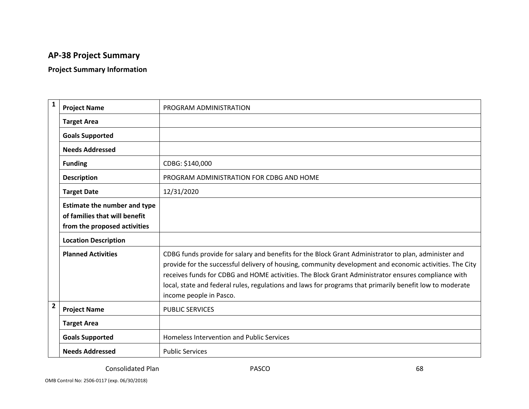# **AP-38 Project Summary**

**Project Summary Information**

| $\mathbf{1}$   | <b>Project Name</b>                                                                           | PROGRAM ADMINISTRATION                                                                                                                                                                                                                                                                                                                                                                                                                                       |
|----------------|-----------------------------------------------------------------------------------------------|--------------------------------------------------------------------------------------------------------------------------------------------------------------------------------------------------------------------------------------------------------------------------------------------------------------------------------------------------------------------------------------------------------------------------------------------------------------|
|                | <b>Target Area</b>                                                                            |                                                                                                                                                                                                                                                                                                                                                                                                                                                              |
|                | <b>Goals Supported</b>                                                                        |                                                                                                                                                                                                                                                                                                                                                                                                                                                              |
|                | <b>Needs Addressed</b>                                                                        |                                                                                                                                                                                                                                                                                                                                                                                                                                                              |
|                | <b>Funding</b>                                                                                | CDBG: \$140,000                                                                                                                                                                                                                                                                                                                                                                                                                                              |
|                | <b>Description</b>                                                                            | PROGRAM ADMINISTRATION FOR CDBG AND HOME                                                                                                                                                                                                                                                                                                                                                                                                                     |
|                | <b>Target Date</b>                                                                            | 12/31/2020                                                                                                                                                                                                                                                                                                                                                                                                                                                   |
|                | Estimate the number and type<br>of families that will benefit<br>from the proposed activities |                                                                                                                                                                                                                                                                                                                                                                                                                                                              |
|                | <b>Location Description</b>                                                                   |                                                                                                                                                                                                                                                                                                                                                                                                                                                              |
|                | <b>Planned Activities</b>                                                                     | CDBG funds provide for salary and benefits for the Block Grant Administrator to plan, administer and<br>provide for the successful delivery of housing, community development and economic activities. The City<br>receives funds for CDBG and HOME activities. The Block Grant Administrator ensures compliance with<br>local, state and federal rules, regulations and laws for programs that primarily benefit low to moderate<br>income people in Pasco. |
| $\overline{2}$ | <b>Project Name</b>                                                                           | <b>PUBLIC SERVICES</b>                                                                                                                                                                                                                                                                                                                                                                                                                                       |
|                | <b>Target Area</b>                                                                            |                                                                                                                                                                                                                                                                                                                                                                                                                                                              |
|                | <b>Goals Supported</b>                                                                        | Homeless Intervention and Public Services                                                                                                                                                                                                                                                                                                                                                                                                                    |
|                | <b>Needs Addressed</b>                                                                        | <b>Public Services</b>                                                                                                                                                                                                                                                                                                                                                                                                                                       |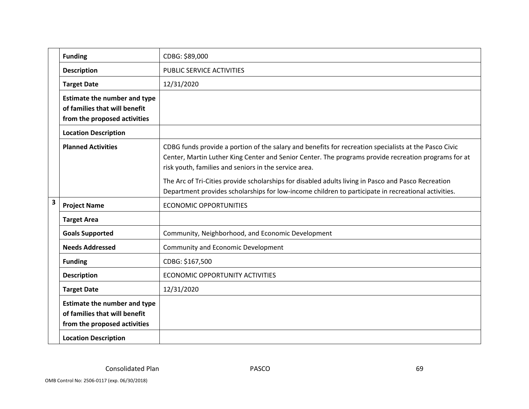|                         | <b>Funding</b>                                                                                                                      | CDBG: \$89,000                                                                                                                                                                                                                                                         |
|-------------------------|-------------------------------------------------------------------------------------------------------------------------------------|------------------------------------------------------------------------------------------------------------------------------------------------------------------------------------------------------------------------------------------------------------------------|
|                         | <b>Description</b>                                                                                                                  | PUBLIC SERVICE ACTIVITIES                                                                                                                                                                                                                                              |
|                         | <b>Target Date</b>                                                                                                                  | 12/31/2020                                                                                                                                                                                                                                                             |
|                         | <b>Estimate the number and type</b><br>of families that will benefit<br>from the proposed activities                                |                                                                                                                                                                                                                                                                        |
|                         | <b>Location Description</b>                                                                                                         |                                                                                                                                                                                                                                                                        |
|                         | <b>Planned Activities</b>                                                                                                           | CDBG funds provide a portion of the salary and benefits for recreation specialists at the Pasco Civic<br>Center, Martin Luther King Center and Senior Center. The programs provide recreation programs for at<br>risk youth, families and seniors in the service area. |
|                         |                                                                                                                                     | The Arc of Tri-Cities provide scholarships for disabled adults living in Pasco and Pasco Recreation<br>Department provides scholarships for low-income children to participate in recreational activities.                                                             |
| $\overline{\mathbf{3}}$ | <b>Project Name</b>                                                                                                                 | <b>ECONOMIC OPPORTUNITIES</b>                                                                                                                                                                                                                                          |
|                         | <b>Target Area</b>                                                                                                                  |                                                                                                                                                                                                                                                                        |
|                         | <b>Goals Supported</b>                                                                                                              | Community, Neighborhood, and Economic Development                                                                                                                                                                                                                      |
|                         | <b>Needs Addressed</b>                                                                                                              | Community and Economic Development                                                                                                                                                                                                                                     |
|                         | <b>Funding</b>                                                                                                                      | CDBG: \$167,500                                                                                                                                                                                                                                                        |
|                         | <b>Description</b>                                                                                                                  | ECONOMIC OPPORTUNITY ACTIVITIES                                                                                                                                                                                                                                        |
|                         | <b>Target Date</b>                                                                                                                  | 12/31/2020                                                                                                                                                                                                                                                             |
|                         | <b>Estimate the number and type</b><br>of families that will benefit<br>from the proposed activities<br><b>Location Description</b> |                                                                                                                                                                                                                                                                        |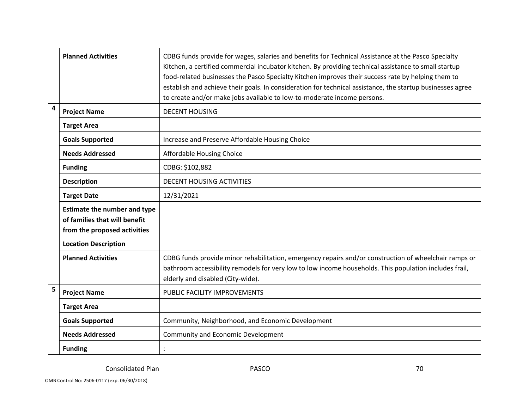|   | <b>Planned Activities</b>                                                                            | CDBG funds provide for wages, salaries and benefits for Technical Assistance at the Pasco Specialty<br>Kitchen, a certified commercial incubator kitchen. By providing technical assistance to small startup<br>food-related businesses the Pasco Specialty Kitchen improves their success rate by helping them to<br>establish and achieve their goals. In consideration for technical assistance, the startup businesses agree<br>to create and/or make jobs available to low-to-moderate income persons. |
|---|------------------------------------------------------------------------------------------------------|-------------------------------------------------------------------------------------------------------------------------------------------------------------------------------------------------------------------------------------------------------------------------------------------------------------------------------------------------------------------------------------------------------------------------------------------------------------------------------------------------------------|
| 4 | <b>Project Name</b>                                                                                  | <b>DECENT HOUSING</b>                                                                                                                                                                                                                                                                                                                                                                                                                                                                                       |
|   | <b>Target Area</b>                                                                                   |                                                                                                                                                                                                                                                                                                                                                                                                                                                                                                             |
|   | <b>Goals Supported</b>                                                                               | Increase and Preserve Affordable Housing Choice                                                                                                                                                                                                                                                                                                                                                                                                                                                             |
|   | <b>Needs Addressed</b>                                                                               | Affordable Housing Choice                                                                                                                                                                                                                                                                                                                                                                                                                                                                                   |
|   | <b>Funding</b>                                                                                       | CDBG: \$102,882                                                                                                                                                                                                                                                                                                                                                                                                                                                                                             |
|   | <b>Description</b>                                                                                   | <b>DECENT HOUSING ACTIVITIES</b>                                                                                                                                                                                                                                                                                                                                                                                                                                                                            |
|   | <b>Target Date</b>                                                                                   | 12/31/2021                                                                                                                                                                                                                                                                                                                                                                                                                                                                                                  |
|   | <b>Estimate the number and type</b><br>of families that will benefit<br>from the proposed activities |                                                                                                                                                                                                                                                                                                                                                                                                                                                                                                             |
|   | <b>Location Description</b>                                                                          |                                                                                                                                                                                                                                                                                                                                                                                                                                                                                                             |
|   | <b>Planned Activities</b>                                                                            | CDBG funds provide minor rehabilitation, emergency repairs and/or construction of wheelchair ramps or<br>bathroom accessibility remodels for very low to low income households. This population includes frail,<br>elderly and disabled (City-wide).                                                                                                                                                                                                                                                        |
| 5 | <b>Project Name</b>                                                                                  | PUBLIC FACILITY IMPROVEMENTS                                                                                                                                                                                                                                                                                                                                                                                                                                                                                |
|   | <b>Target Area</b>                                                                                   |                                                                                                                                                                                                                                                                                                                                                                                                                                                                                                             |
|   | <b>Goals Supported</b>                                                                               | Community, Neighborhood, and Economic Development                                                                                                                                                                                                                                                                                                                                                                                                                                                           |
|   | <b>Needs Addressed</b>                                                                               | Community and Economic Development                                                                                                                                                                                                                                                                                                                                                                                                                                                                          |
|   | <b>Funding</b>                                                                                       |                                                                                                                                                                                                                                                                                                                                                                                                                                                                                                             |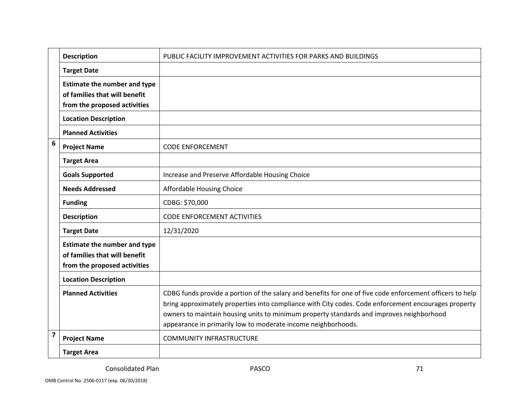|                         | <b>Description</b>                                                                                   | PUBLIC FACILITY IMPROVEMENT ACTIVITIES FOR PARKS AND BUILDINGS                                                                                                                                                                                                                                                                                                                 |
|-------------------------|------------------------------------------------------------------------------------------------------|--------------------------------------------------------------------------------------------------------------------------------------------------------------------------------------------------------------------------------------------------------------------------------------------------------------------------------------------------------------------------------|
|                         | <b>Target Date</b>                                                                                   |                                                                                                                                                                                                                                                                                                                                                                                |
|                         | <b>Estimate the number and type</b><br>of families that will benefit<br>from the proposed activities |                                                                                                                                                                                                                                                                                                                                                                                |
|                         | <b>Location Description</b>                                                                          |                                                                                                                                                                                                                                                                                                                                                                                |
|                         | <b>Planned Activities</b>                                                                            |                                                                                                                                                                                                                                                                                                                                                                                |
| 6                       | <b>Project Name</b>                                                                                  | <b>CODE ENFORCEMENT</b>                                                                                                                                                                                                                                                                                                                                                        |
|                         | <b>Target Area</b>                                                                                   |                                                                                                                                                                                                                                                                                                                                                                                |
|                         | <b>Goals Supported</b>                                                                               | Increase and Preserve Affordable Housing Choice                                                                                                                                                                                                                                                                                                                                |
|                         | <b>Needs Addressed</b>                                                                               | Affordable Housing Choice                                                                                                                                                                                                                                                                                                                                                      |
|                         | <b>Funding</b>                                                                                       | CDBG: \$70,000                                                                                                                                                                                                                                                                                                                                                                 |
|                         | <b>Description</b>                                                                                   | CODE ENFORCEMENT ACTIVITIES                                                                                                                                                                                                                                                                                                                                                    |
|                         | <b>Target Date</b>                                                                                   | 12/31/2020                                                                                                                                                                                                                                                                                                                                                                     |
|                         | <b>Estimate the number and type</b><br>of families that will benefit<br>from the proposed activities |                                                                                                                                                                                                                                                                                                                                                                                |
|                         | <b>Location Description</b>                                                                          |                                                                                                                                                                                                                                                                                                                                                                                |
|                         | <b>Planned Activities</b>                                                                            | CDBG funds provide a portion of the salary and benefits for one of five code enforcement officers to help<br>bring approximately properties into compliance with City codes. Code enforcement encourages property<br>owners to maintain housing units to minimum property standards and improves neighborhood<br>appearance in primarily low to moderate income neighborhoods. |
| $\overline{\mathbf{z}}$ | <b>Project Name</b>                                                                                  | <b>COMMUNITY INFRASTRUCTURE</b>                                                                                                                                                                                                                                                                                                                                                |
|                         | <b>Target Area</b>                                                                                   |                                                                                                                                                                                                                                                                                                                                                                                |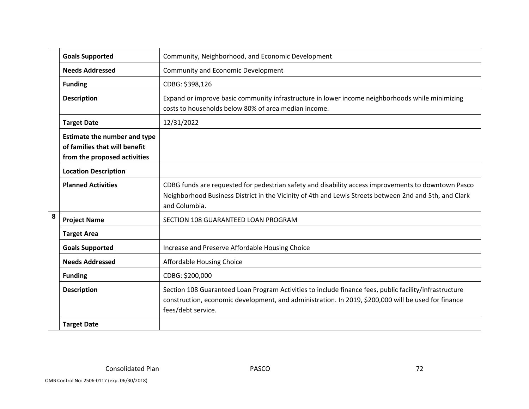|   | <b>Goals Supported</b>                                                                               | Community, Neighborhood, and Economic Development                                                                                                                                                                                   |
|---|------------------------------------------------------------------------------------------------------|-------------------------------------------------------------------------------------------------------------------------------------------------------------------------------------------------------------------------------------|
|   | <b>Needs Addressed</b>                                                                               | Community and Economic Development                                                                                                                                                                                                  |
|   | <b>Funding</b>                                                                                       | CDBG: \$398,126                                                                                                                                                                                                                     |
|   | <b>Description</b>                                                                                   | Expand or improve basic community infrastructure in lower income neighborhoods while minimizing<br>costs to households below 80% of area median income.                                                                             |
|   | <b>Target Date</b>                                                                                   | 12/31/2022                                                                                                                                                                                                                          |
|   | <b>Estimate the number and type</b><br>of families that will benefit<br>from the proposed activities |                                                                                                                                                                                                                                     |
|   | <b>Location Description</b>                                                                          |                                                                                                                                                                                                                                     |
|   | <b>Planned Activities</b>                                                                            | CDBG funds are requested for pedestrian safety and disability access improvements to downtown Pasco<br>Neighborhood Business District in the Vicinity of 4th and Lewis Streets between 2nd and 5th, and Clark<br>and Columbia.      |
| 8 | <b>Project Name</b>                                                                                  | SECTION 108 GUARANTEED LOAN PROGRAM                                                                                                                                                                                                 |
|   | <b>Target Area</b>                                                                                   |                                                                                                                                                                                                                                     |
|   | <b>Goals Supported</b>                                                                               | Increase and Preserve Affordable Housing Choice                                                                                                                                                                                     |
|   | <b>Needs Addressed</b>                                                                               | Affordable Housing Choice                                                                                                                                                                                                           |
|   | <b>Funding</b>                                                                                       | CDBG: \$200,000                                                                                                                                                                                                                     |
|   | <b>Description</b>                                                                                   | Section 108 Guaranteed Loan Program Activities to include finance fees, public facility/infrastructure<br>construction, economic development, and administration. In 2019, \$200,000 will be used for finance<br>fees/debt service. |
|   | <b>Target Date</b>                                                                                   |                                                                                                                                                                                                                                     |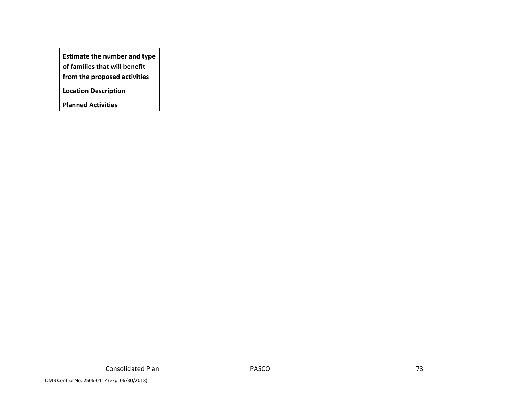|  | <b>Estimate the number and type</b> |  |
|--|-------------------------------------|--|
|  | of families that will benefit       |  |
|  | from the proposed activities        |  |
|  | <b>Location Description</b>         |  |
|  | <b>Planned Activities</b>           |  |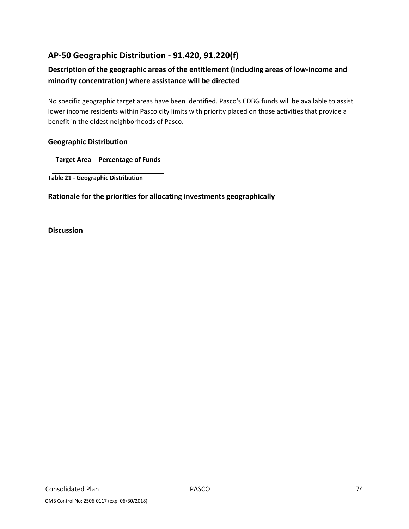## **AP-50 Geographic Distribution - 91.420, 91.220(f)**

### **Description of the geographic areas of the entitlement (including areas of low-income and minority concentration) where assistance will be directed**

No specific geographic target areas have been identified. Pasco's CDBG funds will be available to assist lower income residents within Pasco city limits with priority placed on those activities that provide a benefit in the oldest neighborhoods of Pasco.

#### **Geographic Distribution**

| Target Area   Percentage of Funds |  |
|-----------------------------------|--|
|                                   |  |

**Table 21 - Geographic Distribution** 

#### **Rationale for the priorities for allocating investments geographically**

**Discussion**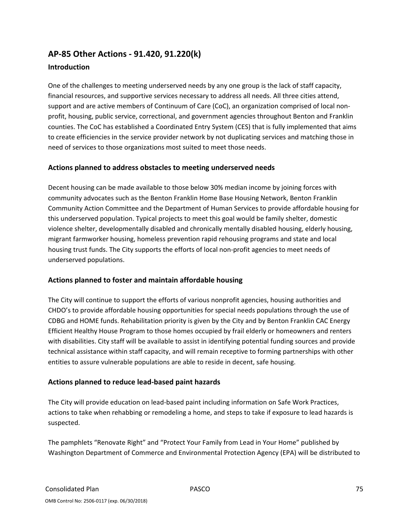# **AP-85 Other Actions - 91.420, 91.220(k)**

#### **Introduction**

One of the challenges to meeting underserved needs by any one group is the lack of staff capacity, financial resources, and supportive services necessary to address all needs. All three cities attend, support and are active members of Continuum of Care (CoC), an organization comprised of local nonprofit, housing, public service, correctional, and government agencies throughout Benton and Franklin counties. The CoC has established a Coordinated Entry System (CES) that is fully implemented that aims to create efficiencies in the service provider network by not duplicating services and matching those in need of services to those organizations most suited to meet those needs.

#### **Actions planned to address obstacles to meeting underserved needs**

Decent housing can be made available to those below 30% median income by joining forces with community advocates such as the Benton Franklin Home Base Housing Network, Benton Franklin Community Action Committee and the Department of Human Services to provide affordable housing for this underserved population. Typical projects to meet this goal would be family shelter, domestic violence shelter, developmentally disabled and chronically mentally disabled housing, elderly housing, migrant farmworker housing, homeless prevention rapid rehousing programs and state and local housing trust funds. The City supports the efforts of local non-profit agencies to meet needs of underserved populations.

#### **Actions planned to foster and maintain affordable housing**

The City will continue to support the efforts of various nonprofit agencies, housing authorities and CHDO's to provide affordable housing opportunities for special needs populations through the use of CDBG and HOME funds. Rehabilitation priority is given by the City and by Benton Franklin CAC Energy Efficient Healthy House Program to those homes occupied by frail elderly or homeowners and renters with disabilities. City staff will be available to assist in identifying potential funding sources and provide technical assistance within staff capacity, and will remain receptive to forming partnerships with other entities to assure vulnerable populations are able to reside in decent, safe housing.

#### **Actions planned to reduce lead-based paint hazards**

The City will provide education on lead-based paint including information on Safe Work Practices, actions to take when rehabbing or remodeling a home, and steps to take if exposure to lead hazards is suspected.

The pamphlets "Renovate Right" and "Protect Your Family from Lead in Your Home" published by Washington Department of Commerce and Environmental Protection Agency (EPA) will be distributed to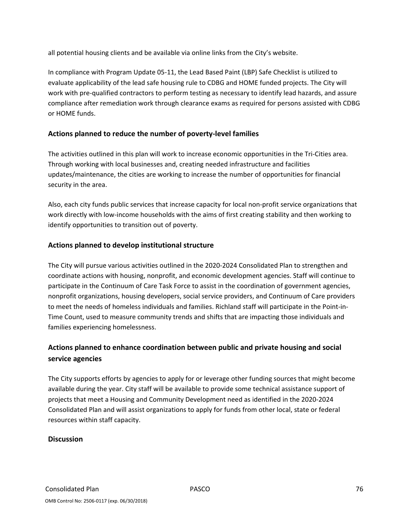all potential housing clients and be available via online links from the City's website.

In compliance with Program Update 05-11, the Lead Based Paint (LBP) Safe Checklist is utilized to evaluate applicability of the lead safe housing rule to CDBG and HOME funded projects. The City will work with pre-qualified contractors to perform testing as necessary to identify lead hazards, and assure compliance after remediation work through clearance exams as required for persons assisted with CDBG or HOME funds.

#### **Actions planned to reduce the number of poverty-level families**

The activities outlined in this plan will work to increase economic opportunities in the Tri-Cities area. Through working with local businesses and, creating needed infrastructure and facilities updates/maintenance, the cities are working to increase the number of opportunities for financial security in the area.

Also, each city funds public services that increase capacity for local non-profit service organizations that work directly with low-income households with the aims of first creating stability and then working to identify opportunities to transition out of poverty.

#### **Actions planned to develop institutional structure**

The City will pursue various activities outlined in the 2020-2024 Consolidated Plan to strengthen and coordinate actions with housing, nonprofit, and economic development agencies. Staff will continue to participate in the Continuum of Care Task Force to assist in the coordination of government agencies, nonprofit organizations, housing developers, social service providers, and Continuum of Care providers to meet the needs of homeless individuals and families. Richland staff will participate in the Point-in-Time Count, used to measure community trends and shifts that are impacting those individuals and families experiencing homelessness.

## **Actions planned to enhance coordination between public and private housing and social service agencies**

The City supports efforts by agencies to apply for or leverage other funding sources that might become available during the year. City staff will be available to provide some technical assistance support of projects that meet a Housing and Community Development need as identified in the 2020-2024 Consolidated Plan and will assist organizations to apply for funds from other local, state or federal resources within staff capacity.

#### **Discussion**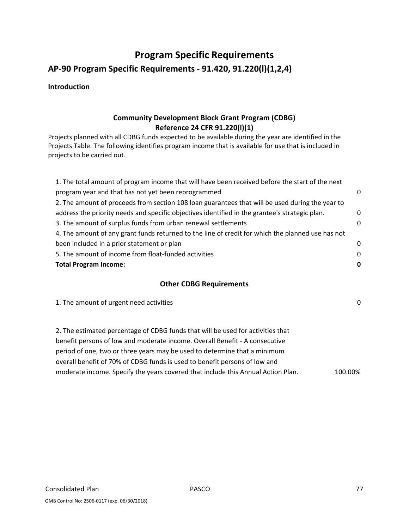# **Program Specific Requirements**

## **AP-90 Program Specific Requirements - 91.420, 91.220(l)(1,2,4)**

#### **Introduction**

#### **Community Development Block Grant Program (CDBG) Reference 24 CFR 91.220(l)(1)**

Projects planned with all CDBG funds expected to be available during the year are identified in the Projects Table. The following identifies program income that is available for use that is included in projects to be carried out.

| 1. The total amount of program income that will have been received before the start of the next   |          |  |
|---------------------------------------------------------------------------------------------------|----------|--|
| program year and that has not yet been reprogrammed                                               | 0        |  |
| 2. The amount of proceeds from section 108 loan guarantees that will be used during the year to   |          |  |
| address the priority needs and specific objectives identified in the grantee's strategic plan.    | 0        |  |
| 3. The amount of surplus funds from urban renewal settlements                                     | 0        |  |
| 4. The amount of any grant funds returned to the line of credit for which the planned use has not |          |  |
| been included in a prior statement or plan                                                        | 0        |  |
| 5. The amount of income from float-funded activities                                              | $\Omega$ |  |
| <b>Total Program Income:</b>                                                                      |          |  |
|                                                                                                   |          |  |

#### **Other CDBG Requirements**

| 1. The amount of urgent need activities                                          |         |  |
|----------------------------------------------------------------------------------|---------|--|
| 2. The estimated percentage of CDBG funds that will be used for activities that  |         |  |
| benefit persons of low and moderate income. Overall Benefit - A consecutive      |         |  |
| period of one, two or three years may be used to determine that a minimum        |         |  |
| overall benefit of 70% of CDBG funds is used to benefit persons of low and       |         |  |
| moderate income. Specify the years covered that include this Annual Action Plan. | 100.00% |  |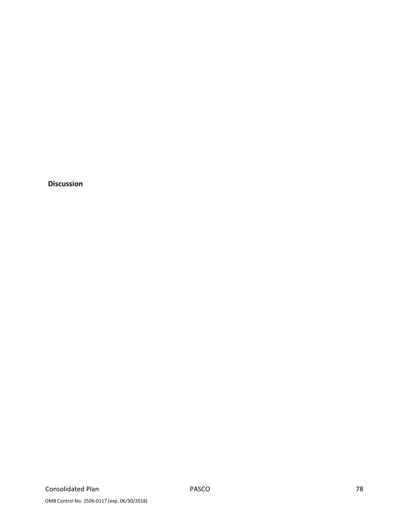**Discussion**